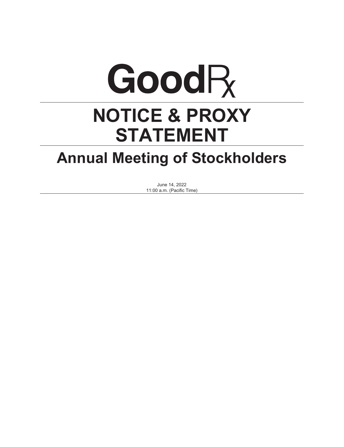# GoodR **NOTICE & PROXY STATEMENT**

## **Annual Meeting of Stockholders**

June 14, 2022 11:00 a.m. (Pacific Time)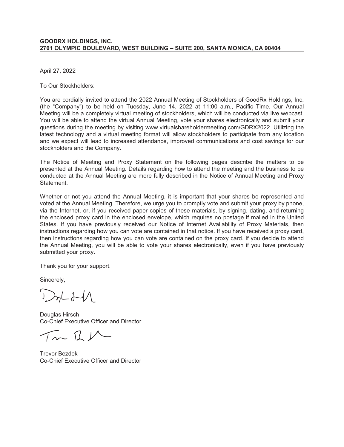#### **GOODRX HOLDINGS, INC. 2701 OLYMPIC BOULEVARD, WEST BUILDING – SUITE 200, SANTA MONICA, CA 90404**

April 27, 2022

To Our Stockholders:

You are cordially invited to attend the 2022 Annual Meeting of Stockholders of GoodRx Holdings, Inc. (the "Company") to be held on Tuesday, June 14, 2022 at 11:00 a.m., Pacific Time. Our Annual Meeting will be a completely virtual meeting of stockholders, which will be conducted via live webcast. You will be able to attend the virtual Annual Meeting, vote your shares electronically and submit your questions during the meeting by visiting www.virtualshareholdermeeting.com/GDRX2022. Utilizing the latest technology and a virtual meeting format will allow stockholders to participate from any location and we expect will lead to increased attendance, improved communications and cost savings for our stockholders and the Company.

The Notice of Meeting and Proxy Statement on the following pages describe the matters to be presented at the Annual Meeting. Details regarding how to attend the meeting and the business to be conducted at the Annual Meeting are more fully described in the Notice of Annual Meeting and Proxy Statement.

Whether or not you attend the Annual Meeting, it is important that your shares be represented and voted at the Annual Meeting. Therefore, we urge you to promptly vote and submit your proxy by phone, via the Internet, or, if you received paper copies of these materials, by signing, dating, and returning the enclosed proxy card in the enclosed envelope, which requires no postage if mailed in the United States. If you have previously received our Notice of Internet Availability of Proxy Materials, then instructions regarding how you can vote are contained in that notice. If you have received a proxy card, then instructions regarding how you can vote are contained on the proxy card. If you decide to attend the Annual Meeting, you will be able to vote your shares electronically, even if you have previously submitted your proxy.

Thank you for your support.

Sincerely,

 $27L + 11$ 

Douglas Hirsch Co-Chief Executive Officer and Director

 $\pi L$ 

Trevor Bezdek Co-Chief Executive Officer and Director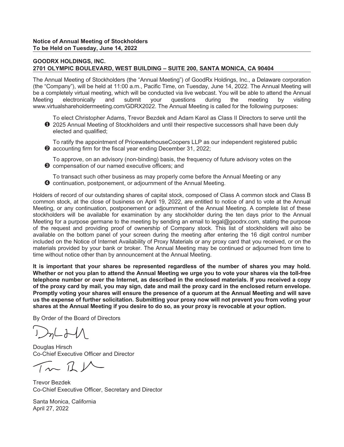#### **GOODRX HOLDINGS, INC. 2701 OLYMPIC BOULEVARD, WEST BUILDING – SUITE 200, SANTA MONICA, CA 90404**

The Annual Meeting of Stockholders (the "Annual Meeting") of GoodRx Holdings, Inc., a Delaware corporation (the "Company"), will be held at 11:00 a.m., Pacific Time, on Tuesday, June 14, 2022. The Annual Meeting will be a completely virtual meeting, which will be conducted via live webcast. You will be able to attend the Annual Meeting electronically and submit your questions during the meeting by visiting www.virtualshareholdermeeting.com/GDRX2022. The Annual Meeting is called for the following purposes:

❶ 2025 Annual Meeting of Stockholders and until their respective successors shall have been duly To elect Christopher Adams, Trevor Bezdek and Adam Karol as Class II Directors to serve until the elected and qualified;

➋ accounting firm for the fiscal year ending December 31, 2022; To ratify the appointment of PricewaterhouseCoopers LLP as our independent registered public

➌ compensation of our named executive officers; and To approve, on an advisory (non-binding) basis, the frequency of future advisory votes on the

➍ continuation, postponement, or adjournment of the Annual Meeting. To transact such other business as may properly come before the Annual Meeting or any

Holders of record of our outstanding shares of capital stock, composed of Class A common stock and Class B common stock, at the close of business on April 19, 2022, are entitled to notice of and to vote at the Annual Meeting, or any continuation, postponement or adjournment of the Annual Meeting. A complete list of these stockholders will be available for examination by any stockholder during the ten days prior to the Annual Meeting for a purpose germane to the meeting by sending an email to legal@goodrx.com, stating the purpose of the request and providing proof of ownership of Company stock. This list of stockholders will also be available on the bottom panel of your screen during the meeting after entering the 16 digit control number included on the Notice of Internet Availability of Proxy Materials or any proxy card that you received, or on the materials provided by your bank or broker. The Annual Meeting may be continued or adjourned from time to time without notice other than by announcement at the Annual Meeting.

**It is important that your shares be represented regardless of the number of shares you may hold. Whether or not you plan to attend the Annual Meeting we urge you to vote your shares via the toll-free telephone number or over the Internet, as described in the enclosed materials. If you received a copy of the proxy card by mail, you may sign, date and mail the proxy card in the enclosed return envelope. Promptly voting your shares will ensure the presence of a quorum at the Annual Meeting and will save us the expense of further solicitation. Submitting your proxy now will not prevent you from voting your shares at the Annual Meeting if you desire to do so, as your proxy is revocable at your option.**

By Order of the Board of Directors

 $J$ 

Douglas Hirsch Co-Chief Executive Officer and Director

 $\sqrt{2}$ 

Trevor Bezdek Co-Chief Executive Officer, Secretary and Director

Santa Monica, California April 27, 2022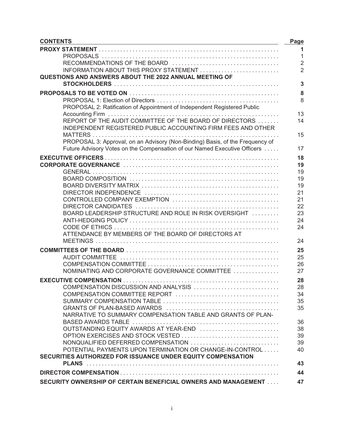| <b>CONTENTS</b>                                                               | Page           |
|-------------------------------------------------------------------------------|----------------|
|                                                                               |                |
|                                                                               | $\mathbf{1}$   |
|                                                                               | $\overline{2}$ |
| INFORMATION ABOUT THIS PROXY STATEMENT                                        |                |
| QUESTIONS AND ANSWERS ABOUT THE 2022 ANNUAL MEETING OF                        |                |
|                                                                               | 3              |
|                                                                               | 8              |
|                                                                               | 8              |
| PROPOSAL 2: Ratification of Appointment of Independent Registered Public      |                |
|                                                                               | 13             |
| REPORT OF THE AUDIT COMMITTEE OF THE BOARD OF DIRECTORS                       | 14             |
| INDEPENDENT REGISTERED PUBLIC ACCOUNTING FIRM FEES AND OTHER                  |                |
|                                                                               | 15             |
| PROPOSAL 3: Approval, on an Advisory (Non-Binding) Basis, of the Frequency of |                |
| Future Advisory Votes on the Compensation of our Named Executive Officers     | 17             |
|                                                                               | 18             |
|                                                                               | 19             |
|                                                                               | 19             |
|                                                                               | 19             |
|                                                                               | 19             |
|                                                                               | 21             |
|                                                                               | 21             |
|                                                                               | 22             |
| BOARD LEADERSHIP STRUCTURE AND ROLE IN RISK OVERSIGHT                         | 23             |
|                                                                               | 24             |
| ATTENDANCE BY MEMBERS OF THE BOARD OF DIRECTORS AT                            | 24             |
|                                                                               | 24             |
|                                                                               |                |
|                                                                               | 25             |
|                                                                               | 25             |
|                                                                               | 26             |
| NOMINATING AND CORPORATE GOVERNANCE COMMITTEE                                 | 27             |
|                                                                               | 28             |
| COMPENSATION DISCUSSION AND ANALYSIS                                          | 28             |
|                                                                               | 34             |
|                                                                               | 35             |
|                                                                               | 35             |
| NARRATIVE TO SUMMARY COMPENSATION TABLE AND GRANTS OF PLAN-                   |                |
|                                                                               | 36             |
| OUTSTANDING EQUITY AWARDS AT YEAR-END                                         | 38             |
| OPTION EXERCISES AND STOCK VESTED                                             | 39             |
| NONQUALIFIED DEFERRED COMPENSATION                                            | 39             |
| POTENTIAL PAYMENTS UPON TERMINATION OR CHANGE-IN-CONTROL                      | 40             |
| SECURITIES AUTHORIZED FOR ISSUANCE UNDER EQUITY COMPENSATION                  |                |
|                                                                               | 43             |
|                                                                               | 44             |
| SECURITY OWNERSHIP OF CERTAIN BENEFICIAL OWNERS AND MANAGEMENT                | 47             |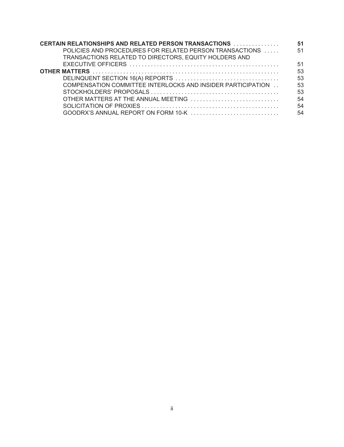| <b>CERTAIN RELATIONSHIPS AND RELATED PERSON TRANSACTIONS </b> | 51 |
|---------------------------------------------------------------|----|
| POLICIES AND PROCEDURES FOR RELATED PERSON TRANSACTIONS       | 51 |
| TRANSACTIONS RELATED TO DIRECTORS, EQUITY HOLDERS AND         |    |
|                                                               | 51 |
|                                                               | 53 |
|                                                               | 53 |
| COMPENSATION COMMITTEE INTERLOCKS AND INSIDER PARTICIPATION   | 53 |
|                                                               | 53 |
|                                                               | 54 |
|                                                               | 54 |
|                                                               | 54 |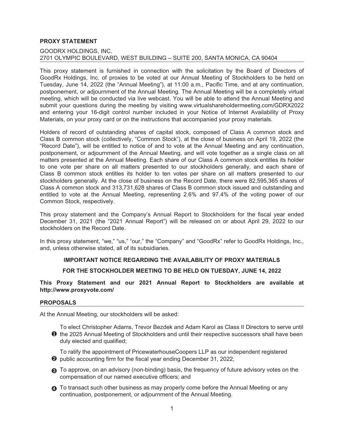#### <span id="page-8-0"></span>**PROXY STATEMENT**

#### GOODRX HOLDINGS, INC. 2701 OLYMPIC BOULEVARD, WEST BUILDING – SUITE 200, SANTA MONICA, CA 90404

This proxy statement is furnished in connection with the solicitation by the Board of Directors of GoodRx Holdings, Inc. of proxies to be voted at our Annual Meeting of Stockholders to be held on Tuesday, June 14, 2022 (the "Annual Meeting"), at 11:00 a.m., Pacific Time, and at any continuation, postponement, or adjournment of the Annual Meeting. The Annual Meeting will be a completely virtual meeting, which will be conducted via live webcast. You will be able to attend the Annual Meeting and submit your questions during the meeting by visiting www.virtualshareholdermeeting.com/GDRX2022 and entering your 16-digit control number included in your Notice of Internet Availability of Proxy Materials, on your proxy card or on the instructions that accompanied your proxy materials.

Holders of record of outstanding shares of capital stock, composed of Class A common stock and Class B common stock (collectively, "Common Stock"), at the close of business on April 19, 2022 (the "Record Date"), will be entitled to notice of and to vote at the Annual Meeting and any continuation, postponement, or adjournment of the Annual Meeting, and will vote together as a single class on all matters presented at the Annual Meeting. Each share of our Class A common stock entitles its holder to one vote per share on all matters presented to our stockholders generally, and each share of Class B common stock entitles its holder to ten votes per share on all matters presented to our stockholders generally. At the close of business on the Record Date, there were 82,595,365 shares of Class A common stock and 313,731,628 shares of Class B common stock issued and outstanding and entitled to vote at the Annual Meeting, representing 2.6% and 97.4% of the voting power of our Common Stock, respectively.

This proxy statement and the Company's Annual Report to Stockholders for the fiscal year ended December 31, 2021 (the "2021 Annual Report") will be released on or about April 29, 2022 to our stockholders on the Record Date.

In this proxy statement, "we," "us," "our," the "Company" and "GoodRx" refer to GoodRx Holdings, Inc., and, unless otherwise stated, all of its subsidiaries.

#### **IMPORTANT NOTICE REGARDING THE AVAILABILITY OF PROXY MATERIALS**

#### **FOR THE STOCKHOLDER MEETING TO BE HELD ON TUESDAY, JUNE 14, 2022**

**This Proxy Statement and our 2021 Annual Report to Stockholders are available at http://www.proxyvote.com/**

#### <span id="page-8-1"></span>**PROPOSALS**

At the Annual Meeting, our stockholders will be asked:

- ❶ the 2025 Annual Meeting of Stockholders and until their respective successors shall have been To elect Christopher Adams, Trevor Bezdek and Adam Karol as Class II Directors to serve until duly elected and qualified;
- ➋ public accounting firm for the fiscal year ending December 31, 2022; To ratify the appointment of PricewaterhouseCoopers LLP as our independent registered
- ➌ To approve, on an advisory (non-binding) basis, the frequency of future advisory votes on the compensation of our named executive officers; and
- **◯** To transact such other business as may properly come before the Annual Meeting or any continuation, postponement, or adjournment of the Annual Meeting.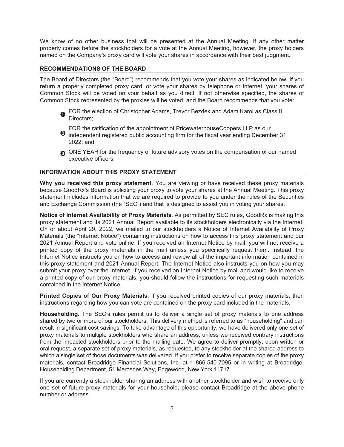We know of no other business that will be presented at the Annual Meeting. If any other matter properly comes before the stockholders for a vote at the Annual Meeting, however, the proxy holders named on the Company's proxy card will vote your shares in accordance with their best judgment.

#### <span id="page-9-0"></span>**RECOMMENDATIONS OF THE BOARD**

The Board of Directors (the "Board") recommends that you vote your shares as indicated below. If you return a properly completed proxy card, or vote your shares by telephone or Internet, your shares of Common Stock will be voted on your behalf as you direct. If not otherwise specified, the shares of Common Stock represented by the proxies will be voted, and the Board recommends that you vote:

- ❶ FOR the election of Christopher Adams, Trevor Bezdek and Adam Karol as Class II Directors;
	-
- FOR the ratification of the appointment of PricewaterhouseCoopers LLP as our<br> **O** independent registered public accounting firm for the fiscal year ending December 31, 2022; and
- ➌ ONE YEAR for the frequency of future advisory votes on the compensation of our named executive officers.

#### <span id="page-9-1"></span>**INFORMATION ABOUT THIS PROXY STATEMENT**

**Why you received this proxy statement**. You are viewing or have received these proxy materials because GoodRx's Board is soliciting your proxy to vote your shares at the Annual Meeting. This proxy statement includes information that we are required to provide to you under the rules of the Securities and Exchange Commission (the "SEC") and that is designed to assist you in voting your shares.

**Notice of Internet Availability of Proxy Materials**. As permitted by SEC rules, GoodRx is making this proxy statement and its 2021 Annual Report available to its stockholders electronically via the Internet. On or about April 29, 2022, we mailed to our stockholders a Notice of Internet Availability of Proxy Materials (the "Internet Notice") containing instructions on how to access this proxy statement and our 2021 Annual Report and vote online. If you received an Internet Notice by mail, you will not receive a printed copy of the proxy materials in the mail unless you specifically request them. Instead, the Internet Notice instructs you on how to access and review all of the important information contained in this proxy statement and 2021 Annual Report. The Internet Notice also instructs you on how you may submit your proxy over the Internet. If you received an Internet Notice by mail and would like to receive a printed copy of our proxy materials, you should follow the instructions for requesting such materials contained in the Internet Notice.

**Printed Copies of Our Proxy Materials**. If you received printed copies of our proxy materials, then instructions regarding how you can vote are contained on the proxy card included in the materials.

**Householding**. The SEC's rules permit us to deliver a single set of proxy materials to one address shared by two or more of our stockholders. This delivery method is referred to as "householding" and can result in significant cost savings. To take advantage of this opportunity, we have delivered only one set of proxy materials to multiple stockholders who share an address, unless we received contrary instructions from the impacted stockholders prior to the mailing date. We agree to deliver promptly, upon written or oral request, a separate set of proxy materials, as requested, to any stockholder at the shared address to which a single set of those documents was delivered. If you prefer to receive separate copies of the proxy materials, contact Broadridge Financial Solutions, Inc. at 1 866-540-7095 or in writing at Broadridge, Householding Department, 51 Mercedes Way, Edgewood, New York 11717.

If you are currently a stockholder sharing an address with another stockholder and wish to receive only one set of future proxy materials for your household, please contact Broadridge at the above phone number or address.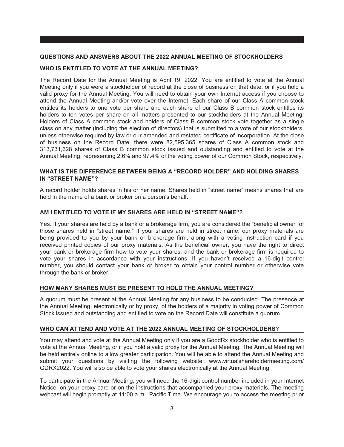#### <span id="page-10-0"></span>**QUESTIONS AND ANSWERS ABOUT THE 2022 ANNUAL MEETING OF STOCKHOLDERS**

#### **WHO IS ENTITLED TO VOTE AT THE ANNUAL MEETING?**

The Record Date for the Annual Meeting is April 19, 2022. You are entitled to vote at the Annual Meeting only if you were a stockholder of record at the close of business on that date, or if you hold a valid proxy for the Annual Meeting. You will need to obtain your own Internet access if you choose to attend the Annual Meeting and/or vote over the Internet. Each share of our Class A common stock entitles its holders to one vote per share and each share of our Class B common stock entitles its holders to ten votes per share on all matters presented to our stockholders at the Annual Meeting. Holders of Class A common stock and holders of Class B common stock vote together as a single class on any matter (including the election of directors) that is submitted to a vote of our stockholders, unless otherwise required by law or our amended and restated certificate of incorporation. At the close of business on the Record Date, there were 82,595,365 shares of Class A common stock and 313,731,628 shares of Class B common stock issued and outstanding and entitled to vote at the Annual Meeting, representing 2.6% and 97.4% of the voting power of our Common Stock, respectively.

#### **WHAT IS THE DIFFERENCE BETWEEN BEING A "RECORD HOLDER" AND HOLDING SHARES IN "STREET NAME"?**

A record holder holds shares in his or her name. Shares held in "street name" means shares that are held in the name of a bank or broker on a person's behalf.

#### **AM I ENTITLED TO VOTE IF MY SHARES ARE HELD IN "STREET NAME"?**

Yes. If your shares are held by a bank or a brokerage firm, you are considered the "beneficial owner" of those shares held in "street name." If your shares are held in street name, our proxy materials are being provided to you by your bank or brokerage firm, along with a voting instruction card if you received printed copies of our proxy materials. As the beneficial owner, you have the right to direct your bank or brokerage firm how to vote your shares, and the bank or brokerage firm is required to vote your shares in accordance with your instructions. If you haven't received a 16-digit control number, you should contact your bank or broker to obtain your control number or otherwise vote through the bank or broker.

#### **HOW MANY SHARES MUST BE PRESENT TO HOLD THE ANNUAL MEETING?**

A quorum must be present at the Annual Meeting for any business to be conducted. The presence at the Annual Meeting, electronically or by proxy, of the holders of a majority in voting power of Common Stock issued and outstanding and entitled to vote on the Record Date will constitute a quorum.

#### **WHO CAN ATTEND AND VOTE AT THE 2022 ANNUAL MEETING OF STOCKHOLDERS?**

You may attend and vote at the Annual Meeting only if you are a GoodRx stockholder who is entitled to vote at the Annual Meeting, or if you hold a valid proxy for the Annual Meeting. The Annual Meeting will be held entirely online to allow greater participation. You will be able to attend the Annual Meeting and submit your questions by visiting the following website: www.virtualshareholdermeeting.com/ GDRX2022. You will also be able to vote your shares electronically at the Annual Meeting.

To participate in the Annual Meeting, you will need the 16-digit control number included in your Internet Notice, on your proxy card or on the instructions that accompanied your proxy materials. The meeting webcast will begin promptly at 11:00 a.m., Pacific Time. We encourage you to access the meeting prior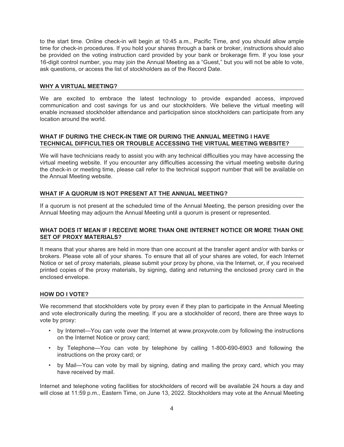to the start time. Online check-in will begin at 10:45 a.m., Pacific Time, and you should allow ample time for check-in procedures. If you hold your shares through a bank or broker, instructions should also be provided on the voting instruction card provided by your bank or brokerage firm. If you lose your 16-digit control number, you may join the Annual Meeting as a "Guest," but you will not be able to vote, ask questions, or access the list of stockholders as of the Record Date.

#### **WHY A VIRTUAL MEETING?**

We are excited to embrace the latest technology to provide expanded access, improved communication and cost savings for us and our stockholders. We believe the virtual meeting will enable increased stockholder attendance and participation since stockholders can participate from any location around the world.

#### **WHAT IF DURING THE CHECK-IN TIME OR DURING THE ANNUAL MEETING I HAVE TECHNICAL DIFFICULTIES OR TROUBLE ACCESSING THE VIRTUAL MEETING WEBSITE?**

We will have technicians ready to assist you with any technical difficulties you may have accessing the virtual meeting website. If you encounter any difficulties accessing the virtual meeting website during the check-in or meeting time, please call refer to the technical support number that will be available on the Annual Meeting website.

#### **WHAT IF A QUORUM IS NOT PRESENT AT THE ANNUAL MEETING?**

If a quorum is not present at the scheduled time of the Annual Meeting, the person presiding over the Annual Meeting may adjourn the Annual Meeting until a quorum is present or represented.

#### **WHAT DOES IT MEAN IF I RECEIVE MORE THAN ONE INTERNET NOTICE OR MORE THAN ONE SET OF PROXY MATERIALS?**

It means that your shares are held in more than one account at the transfer agent and/or with banks or brokers. Please vote all of your shares. To ensure that all of your shares are voted, for each Internet Notice or set of proxy materials, please submit your proxy by phone, via the Internet, or, if you received printed copies of the proxy materials, by signing, dating and returning the enclosed proxy card in the enclosed envelope.

#### **HOW DO I VOTE?**

We recommend that stockholders vote by proxy even if they plan to participate in the Annual Meeting and vote electronically during the meeting. If you are a stockholder of record, there are three ways to vote by proxy:

- by Internet—You can vote over the Internet at www.proxyvote.com by following the instructions on the Internet Notice or proxy card;
- by Telephone—You can vote by telephone by calling 1-800-690-6903 and following the instructions on the proxy card; or
- by Mail—You can vote by mail by signing, dating and mailing the proxy card, which you may have received by mail.

Internet and telephone voting facilities for stockholders of record will be available 24 hours a day and will close at 11:59 p.m., Eastern Time, on June 13, 2022. Stockholders may vote at the Annual Meeting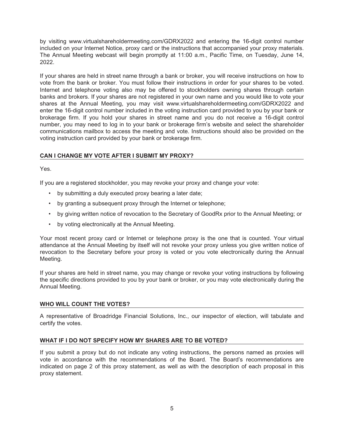by visiting www.virtualshareholdermeeting.com/GDRX2022 and entering the 16-digit control number included on your Internet Notice, proxy card or the instructions that accompanied your proxy materials. The Annual Meeting webcast will begin promptly at 11:00 a.m., Pacific Time, on Tuesday, June 14, 2022.

If your shares are held in street name through a bank or broker, you will receive instructions on how to vote from the bank or broker. You must follow their instructions in order for your shares to be voted. Internet and telephone voting also may be offered to stockholders owning shares through certain banks and brokers. If your shares are not registered in your own name and you would like to vote your shares at the Annual Meeting, you may visit www.virtualshareholdermeeting.com/GDRX2022 and enter the 16-digit control number included in the voting instruction card provided to you by your bank or brokerage firm. If you hold your shares in street name and you do not receive a 16-digit control number, you may need to log in to your bank or brokerage firm's website and select the shareholder communications mailbox to access the meeting and vote. Instructions should also be provided on the voting instruction card provided by your bank or brokerage firm.

### **CAN I CHANGE MY VOTE AFTER I SUBMIT MY PROXY?**

Yes.

If you are a registered stockholder, you may revoke your proxy and change your vote:

- by submitting a duly executed proxy bearing a later date;
- by granting a subsequent proxy through the Internet or telephone;
- by giving written notice of revocation to the Secretary of GoodRx prior to the Annual Meeting; or
- by voting electronically at the Annual Meeting.

Your most recent proxy card or Internet or telephone proxy is the one that is counted. Your virtual attendance at the Annual Meeting by itself will not revoke your proxy unless you give written notice of revocation to the Secretary before your proxy is voted or you vote electronically during the Annual Meeting.

If your shares are held in street name, you may change or revoke your voting instructions by following the specific directions provided to you by your bank or broker, or you may vote electronically during the Annual Meeting.

#### **WHO WILL COUNT THE VOTES?**

A representative of Broadridge Financial Solutions, Inc., our inspector of election, will tabulate and certify the votes.

#### **WHAT IF I DO NOT SPECIFY HOW MY SHARES ARE TO BE VOTED?**

If you submit a proxy but do not indicate any voting instructions, the persons named as proxies will vote in accordance with the recommendations of the Board. The Board's recommendations are indicated on page 2 of this proxy statement, as well as with the description of each proposal in this proxy statement.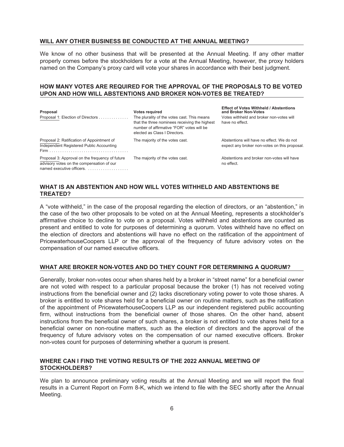#### **WILL ANY OTHER BUSINESS BE CONDUCTED AT THE ANNUAL MEETING?**

We know of no other business that will be presented at the Annual Meeting. If any other matter properly comes before the stockholders for a vote at the Annual Meeting, however, the proxy holders named on the Company's proxy card will vote your shares in accordance with their best judgment.

#### **HOW MANY VOTES ARE REQUIRED FOR THE APPROVAL OF THE PROPOSALS TO BE VOTED UPON AND HOW WILL ABSTENTIONS AND BROKER NON-VOTES BE TREATED?**

| Proposal                                                                                                                  | <b>Votes required</b>                                                                                                                                                      | <b>Effect of Votes Withheld / Abstentions</b><br>and Broker Non-Votes                       |
|---------------------------------------------------------------------------------------------------------------------------|----------------------------------------------------------------------------------------------------------------------------------------------------------------------------|---------------------------------------------------------------------------------------------|
| Proposal 1: Election of Directors                                                                                         | The plurality of the votes cast. This means<br>that the three nominees receiving the highest<br>number of affirmative "FOR" votes will be<br>elected as Class I Directors. | Votes withheld and broker non-votes will<br>have no effect.                                 |
| Proposal 2: Ratification of Appointment of<br>Independent Registered Public Accounting                                    | The majority of the votes cast.                                                                                                                                            | Abstentions will have no effect. We do not<br>expect any broker non-votes on this proposal. |
| Proposal 3: Approval on the frequency of future<br>advisory votes on the compensation of our<br>named executive officers. | The majority of the votes cast.                                                                                                                                            | Abstentions and broker non-votes will have<br>no effect.                                    |

#### **WHAT IS AN ABSTENTION AND HOW WILL VOTES WITHHELD AND ABSTENTIONS BE TREATED?**

A "vote withheld," in the case of the proposal regarding the election of directors, or an "abstention," in the case of the two other proposals to be voted on at the Annual Meeting, represents a stockholder's affirmative choice to decline to vote on a proposal. Votes withheld and abstentions are counted as present and entitled to vote for purposes of determining a quorum. Votes withheld have no effect on the election of directors and abstentions will have no effect on the ratification of the appointment of PricewaterhouseCoopers LLP or the approval of the frequency of future advisory votes on the compensation of our named executive officers.

#### **WHAT ARE BROKER NON-VOTES AND DO THEY COUNT FOR DETERMINING A QUORUM?**

Generally, broker non-votes occur when shares held by a broker in "street name" for a beneficial owner are not voted with respect to a particular proposal because the broker (1) has not received voting instructions from the beneficial owner and (2) lacks discretionary voting power to vote those shares. A broker is entitled to vote shares held for a beneficial owner on routine matters, such as the ratification of the appointment of PricewaterhouseCoopers LLP as our independent registered public accounting firm, without instructions from the beneficial owner of those shares. On the other hand, absent instructions from the beneficial owner of such shares, a broker is not entitled to vote shares held for a beneficial owner on non-routine matters, such as the election of directors and the approval of the frequency of future advisory votes on the compensation of our named executive officers. Broker non-votes count for purposes of determining whether a quorum is present.

#### **WHERE CAN I FIND THE VOTING RESULTS OF THE 2022 ANNUAL MEETING OF STOCKHOLDERS?**

We plan to announce preliminary voting results at the Annual Meeting and we will report the final results in a Current Report on Form 8-K, which we intend to file with the SEC shortly after the Annual Meeting.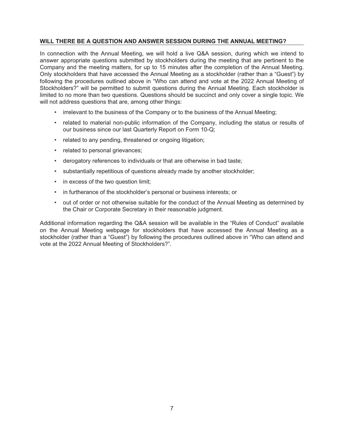#### **WILL THERE BE A QUESTION AND ANSWER SESSION DURING THE ANNUAL MEETING?**

In connection with the Annual Meeting, we will hold a live Q&A session, during which we intend to answer appropriate questions submitted by stockholders during the meeting that are pertinent to the Company and the meeting matters, for up to 15 minutes after the completion of the Annual Meeting. Only stockholders that have accessed the Annual Meeting as a stockholder (rather than a "Guest") by following the procedures outlined above in "Who can attend and vote at the 2022 Annual Meeting of Stockholders?" will be permitted to submit questions during the Annual Meeting. Each stockholder is limited to no more than two questions. Questions should be succinct and only cover a single topic. We will not address questions that are, among other things:

- irrelevant to the business of the Company or to the business of the Annual Meeting;
- related to material non-public information of the Company, including the status or results of our business since our last Quarterly Report on Form 10-Q;
- related to any pending, threatened or ongoing litigation;
- related to personal grievances;
- derogatory references to individuals or that are otherwise in bad taste;
- substantially repetitious of questions already made by another stockholder;
- in excess of the two question limit;
- in furtherance of the stockholder's personal or business interests; or
- out of order or not otherwise suitable for the conduct of the Annual Meeting as determined by the Chair or Corporate Secretary in their reasonable judgment.

Additional information regarding the Q&A session will be available in the "Rules of Conduct" available on the Annual Meeting webpage for stockholders that have accessed the Annual Meeting as a stockholder (rather than a "Guest") by following the procedures outlined above in "Who can attend and vote at the 2022 Annual Meeting of Stockholders?".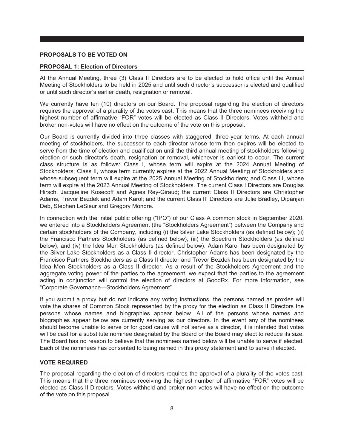#### <span id="page-15-0"></span>**PROPOSALS TO BE VOTED ON**

#### <span id="page-15-1"></span>**PROPOSAL 1: Election of Directors**

At the Annual Meeting, three (3) Class II Directors are to be elected to hold office until the Annual Meeting of Stockholders to be held in 2025 and until such director's successor is elected and qualified or until such director's earlier death, resignation or removal.

We currently have ten (10) directors on our Board. The proposal regarding the election of directors requires the approval of a plurality of the votes cast. This means that the three nominees receiving the highest number of affirmative "FOR" votes will be elected as Class II Directors. Votes withheld and broker non-votes will have no effect on the outcome of the vote on this proposal.

Our Board is currently divided into three classes with staggered, three-year terms. At each annual meeting of stockholders, the successor to each director whose term then expires will be elected to serve from the time of election and qualification until the third annual meeting of stockholders following election or such director's death, resignation or removal, whichever is earliest to occur. The current class structure is as follows: Class I, whose term will expire at the 2024 Annual Meeting of Stockholders; Class II, whose term currently expires at the 2022 Annual Meeting of Stockholders and whose subsequent term will expire at the 2025 Annual Meeting of Stockholders; and Class III, whose term will expire at the 2023 Annual Meeting of Stockholders. The current Class I Directors are Douglas Hirsch, Jacqueline Kosecoff and Agnes Rey-Giraud; the current Class II Directors are Christopher Adams, Trevor Bezdek and Adam Karol; and the current Class III Directors are Julie Bradley, Dipanjan Deb, Stephen LeSieur and Gregory Mondre.

In connection with the initial public offering ("IPO") of our Class A common stock in September 2020, we entered into a Stockholders Agreement (the "Stockholders Agreement") between the Company and certain stockholders of the Company, including (i) the Silver Lake Stockholders (as defined below); (ii) the Francisco Partners Stockholders (as defined below), (iii) the Spectrum Stockholders (as defined below), and (iv) the Idea Men Stockholders (as defined below). Adam Karol has been designated by the Silver Lake Stockholders as a Class II director, Christopher Adams has been designated by the Francisco Partners Stockholders as a Class II director and Trevor Bezdek has been designated by the Idea Men Stockholders as a Class II director. As a result of the Stockholders Agreement and the aggregate voting power of the parties to the agreement, we expect that the parties to the agreement acting in conjunction will control the election of directors at GoodRx. For more information, see "Corporate Governance—Stockholders Agreement".

If you submit a proxy but do not indicate any voting instructions, the persons named as proxies will vote the shares of Common Stock represented by the proxy for the election as Class II Directors the persons whose names and biographies appear below. All of the persons whose names and biographies appear below are currently serving as our directors. In the event any of the nominees should become unable to serve or for good cause will not serve as a director, it is intended that votes will be cast for a substitute nominee designated by the Board or the Board may elect to reduce its size. The Board has no reason to believe that the nominees named below will be unable to serve if elected. Each of the nominees has consented to being named in this proxy statement and to serve if elected.

#### **VOTE REQUIRED**

The proposal regarding the election of directors requires the approval of a plurality of the votes cast. This means that the three nominees receiving the highest number of affirmative "FOR" votes will be elected as Class II Directors. Votes withheld and broker non-votes will have no effect on the outcome of the vote on this proposal.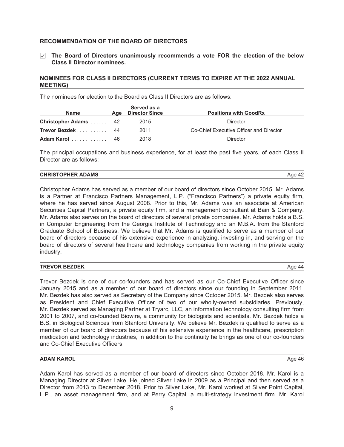#### **RECOMMENDATION OF THE BOARD OF DIRECTORS**

Í **The Board of Directors unanimously recommends a vote FOR the election of the below Class II Director nominees.**

#### **NOMINEES FOR CLASS II DIRECTORS (CURRENT TERMS TO EXPIRE AT THE 2022 ANNUAL MEETING)**

The nominees for election to the Board as Class II Directors are as follows:

| <b>Name</b>                 |    | Served as a<br>Age Director Since | <b>Positions with GoodRx</b>            |  |  |
|-----------------------------|----|-----------------------------------|-----------------------------------------|--|--|
| <b>Christopher Adams</b> 42 |    | 2015                              | Director                                |  |  |
| Trevor Bezdek 44            |    | 2011                              | Co-Chief Executive Officer and Director |  |  |
| Adam Karol                  | 46 | 2018                              | Director                                |  |  |

The principal occupations and business experience, for at least the past five years, of each Class II Director are as follows:

Christopher Adams has served as a member of our board of directors since October 2015. Mr. Adams is a Partner at Francisco Partners Management, L.P. ("Francisco Partners") a private equity firm, where he has served since August 2008. Prior to this, Mr. Adams was an associate at American Securities Capital Partners, a private equity firm, and a management consultant at Bain & Company. Mr. Adams also serves on the board of directors of several private companies. Mr. Adams holds a B.S. in Computer Engineering from the Georgia Institute of Technology and an M.B.A. from the Stanford Graduate School of Business. We believe that Mr. Adams is qualified to serve as a member of our board of directors because of his extensive experience in analyzing, investing in, and serving on the board of directors of several healthcare and technology companies from working in the private equity industry.

| Aae<br>$\Lambda \Lambda$ |
|--------------------------|
|                          |

Trevor Bezdek is one of our co-founders and has served as our Co-Chief Executive Officer since January 2015 and as a member of our board of directors since our founding in September 2011. Mr. Bezdek has also served as Secretary of the Company since October 2015. Mr. Bezdek also serves as President and Chief Executive Officer of two of our wholly-owned subsidiaries. Previously, Mr. Bezdek served as Managing Partner at Tryarc, LLC, an information technology consulting firm from 2001 to 2007, and co-founded Biowire, a community for biologists and scientists. Mr. Bezdek holds a B.S. in Biological Sciences from Stanford University. We believe Mr. Bezdek is qualified to serve as a member of our board of directors because of his extensive experience in the healthcare, prescription medication and technology industries, in addition to the continuity he brings as one of our co-founders and Co-Chief Executive Officers.

#### **ADAM KAROL** Age 46

Adam Karol has served as a member of our board of directors since October 2018. Mr. Karol is a Managing Director at Silver Lake. He joined Silver Lake in 2009 as a Principal and then served as a Director from 2013 to December 2018. Prior to Silver Lake, Mr. Karol worked at Silver Point Capital, L.P., an asset management firm, and at Perry Capital, a multi-strategy investment firm. Mr. Karol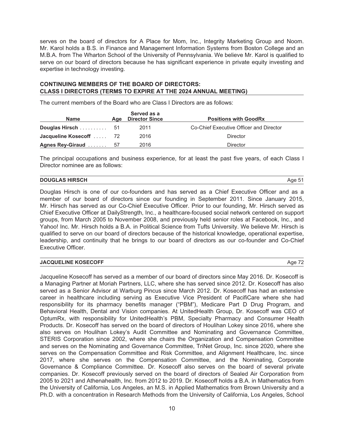serves on the board of directors for A Place for Mom, Inc., Integrity Marketing Group and Noom. Mr. Karol holds a B.S. in Finance and Management Information Systems from Boston College and an M.B.A. from The Wharton School of the University of Pennsylvania. We believe Mr. Karol is qualified to serve on our board of directors because he has significant experience in private equity investing and expertise in technology investing.

#### **CONTINUING MEMBERS OF THE BOARD OF DIRECTORS: CLASS I DIRECTORS (TERMS TO EXPIRE AT THE 2024 ANNUAL MEETING)**

The current members of the Board who are Class I Directors are as follows:

| Served as a<br><b>Director Since</b><br><b>Name</b><br>Aae |  |      | <b>Positions with GoodRx</b>            |  |  |
|------------------------------------------------------------|--|------|-----------------------------------------|--|--|
|                                                            |  | 2011 | Co-Chief Executive Officer and Director |  |  |
| Jacqueline Kosecoff  72                                    |  | 2016 | Director                                |  |  |
| Agnes Rey-Giraud  57                                       |  | 2016 | Director                                |  |  |

The principal occupations and business experience, for at least the past five years, of each Class I Director nominee are as follows:

#### **DOUGLAS HIRSCH** Age 51

Douglas Hirsch is one of our co-founders and has served as a Chief Executive Officer and as a member of our board of directors since our founding in September 2011. Since January 2015, Mr. Hirsch has served as our Co-Chief Executive Officer. Prior to our founding, Mr. Hirsch served as Chief Executive Officer at DailyStrength, Inc., a healthcare-focused social network centered on support groups, from March 2005 to November 2008, and previously held senior roles at Facebook, Inc., and Yahoo! Inc. Mr. Hirsch holds a B.A. in Political Science from Tufts University. We believe Mr. Hirsch is qualified to serve on our board of directors because of the historical knowledge, operational expertise, leadership, and continuity that he brings to our board of directors as our co-founder and Co-Chief Executive Officer.

#### **JACQUELINE KOSECOFF** Age 72

Jacqueline Kosecoff has served as a member of our board of directors since May 2016. Dr. Kosecoff is a Managing Partner at Moriah Partners, LLC, where she has served since 2012. Dr. Kosecoff has also served as a Senior Advisor at Warburg Pincus since March 2012. Dr. Kosecoff has had an extensive career in healthcare including serving as Executive Vice President of PacifiCare where she had responsibility for its pharmacy benefits manager ("PBM"), Medicare Part D Drug Program, and Behavioral Health, Dental and Vision companies. At UnitedHealth Group, Dr. Kosecoff was CEO of OptumRx, with responsibility for UnitedHealth's PBM, Specialty Pharmacy and Consumer Health Products. Dr. Kosecoff has served on the board of directors of Houlihan Lokey since 2016, where she also serves on Houlihan Lokey's Audit Committee and Nominating and Governance Committee, STERIS Corporation since 2002, where she chairs the Organization and Compensation Committee and serves on the Nominating and Governance Committee, TriNet Group, Inc. since 2020, where she serves on the Compensation Committee and Risk Committee, and Alignment Healthcare, Inc. since 2017, where she serves on the Compensation Committee, and the Nominating, Corporate Governance & Compliance Committee. Dr. Kosecoff also serves on the board of several private companies. Dr. Kosecoff previously served on the board of directors of Sealed Air Corporation from 2005 to 2021 and Athenahealth, Inc. from 2012 to 2019. Dr. Kosecoff holds a B.A. in Mathematics from the University of California, Los Angeles, an M.S. in Applied Mathematics from Brown University and a Ph.D. with a concentration in Research Methods from the University of California, Los Angeles, School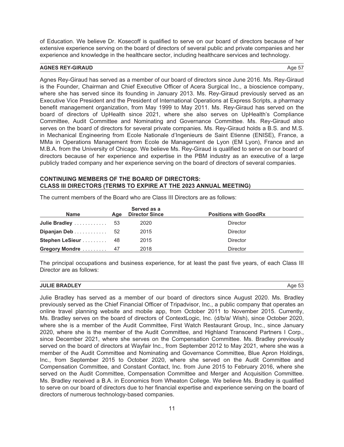of Education. We believe Dr. Kosecoff is qualified to serve on our board of directors because of her extensive experience serving on the board of directors of several public and private companies and her experience and knowledge in the healthcare sector, including healthcare services and technology.

#### **AGNES REY-GIRAUD** Age 57

Agnes Rey-Giraud has served as a member of our board of directors since June 2016. Ms. Rey-Giraud is the Founder, Chairman and Chief Executive Officer of Acera Surgical Inc., a bioscience company, where she has served since its founding in January 2013. Ms. Rey-Giraud previously served as an Executive Vice President and the President of International Operations at Express Scripts, a pharmacy benefit management organization, from May 1999 to May 2011. Ms. Rey-Giraud has served on the board of directors of UpHealth since 2021, where she also serves on UpHealth's Compliance Committee, Audit Committee and Nominating and Governance Committee. Ms. Rey-Giraud also serves on the board of directors for several private companies. Ms. Rey-Giraud holds a B.S. and M.S. in Mechanical Engineering from Ecole Nationale d'Ingenieurs de Saint Etienne (ENISE), France, a MMa in Operations Management from Ecole de Management de Lyon (EM Lyon), France and an M.B.A. from the University of Chicago. We believe Ms. Rey-Giraud is qualified to serve on our board of directors because of her experience and expertise in the PBM industry as an executive of a large publicly traded company and her experience serving on the board of directors of several companies.

#### **CONTINUING MEMBERS OF THE BOARD OF DIRECTORS: CLASS III DIRECTORS (TERMS TO EXPIRE AT THE 2023 ANNUAL MEETING)**

| <b>Name</b>                                    | Aae | Served as a<br><b>Director Since</b> | <b>Positions with GoodRx</b> |
|------------------------------------------------|-----|--------------------------------------|------------------------------|
| Julie Bradley $\ldots \ldots \ldots \ldots 53$ |     | 2020                                 | Director                     |
| Dipanjan Deb 52                                |     | 2015                                 | Director                     |
| Stephen LeSieur 48                             |     | 2015                                 | <b>Director</b>              |
| Gregory Mondre  47                             |     | 2018                                 | <b>Director</b>              |

The current members of the Board who are Class III Directors are as follows:

The principal occupations and business experience, for at least the past five years, of each Class III Director are as follows:

| <b>JULIE BRADLEY</b> | Aae 53 |
|----------------------|--------|
|                      |        |

Julie Bradley has served as a member of our board of directors since August 2020. Ms. Bradley previously served as the Chief Financial Officer of Tripadvisor, Inc., a public company that operates an online travel planning website and mobile app, from October 2011 to November 2015. Currently, Ms. Bradley serves on the board of directors of ContextLogic, Inc. (d/b/a/ Wish), since October 2020, where she is a member of the Audit Committee, First Watch Restaurant Group, Inc., since January 2020, where she is the member of the Audit Committee, and Highland Transcend Partners I Corp., since December 2021, where she serves on the Compensation Committee. Ms. Bradley previously served on the board of directors at Wayfair Inc., from September 2012 to May 2021, where she was a member of the Audit Committee and Nominating and Governance Committee, Blue Apron Holdings, Inc., from September 2015 to October 2020, where she served on the Audit Committee and Compensation Committee, and Constant Contact, Inc. from June 2015 to February 2016, where she served on the Audit Committee, Compensation Committee and Merger and Acquisition Committee. Ms. Bradley received a B.A. in Economics from Wheaton College. We believe Ms. Bradley is qualified to serve on our board of directors due to her financial expertise and experience serving on the board of directors of numerous technology-based companies.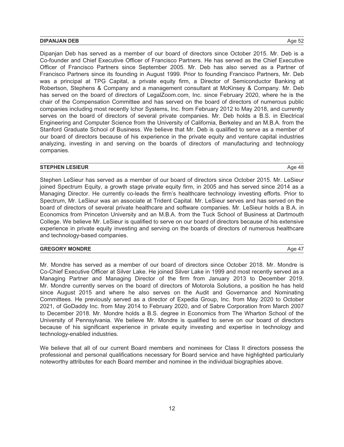#### **DIPANJAN DEB** Age 52

Dipanjan Deb has served as a member of our board of directors since October 2015. Mr. Deb is a Co-founder and Chief Executive Officer of Francisco Partners. He has served as the Chief Executive Officer of Francisco Partners since September 2005. Mr. Deb has also served as a Partner of Francisco Partners since its founding in August 1999. Prior to founding Francisco Partners, Mr. Deb was a principal at TPG Capital, a private equity firm, a Director of Semiconductor Banking at Robertson, Stephens & Company and a management consultant at McKinsey & Company. Mr. Deb has served on the board of directors of LegalZoom.com, Inc. since February 2020, where he is the chair of the Compensation Committee and has served on the board of directors of numerous public companies including most recently Ichor Systems, Inc. from February 2012 to May 2018, and currently serves on the board of directors of several private companies. Mr. Deb holds a B.S. in Electrical Engineering and Computer Science from the University of California, Berkeley and an M.B.A. from the Stanford Graduate School of Business. We believe that Mr. Deb is qualified to serve as a member of our board of directors because of his experience in the private equity and venture capital industries analyzing, investing in and serving on the boards of directors of manufacturing and technology companies.

#### **STEPHEN LESIEUR** Age 48

Stephen LeSieur has served as a member of our board of directors since October 2015. Mr. LeSieur joined Spectrum Equity, a growth stage private equity firm, in 2005 and has served since 2014 as a Managing Director. He currently co-leads the firm's healthcare technology investing efforts. Prior to Spectrum, Mr. LeSieur was an associate at Trident Capital. Mr. LeSieur serves and has served on the board of directors of several private healthcare and software companies. Mr. LeSieur holds a B.A. in Economics from Princeton University and an M.B.A. from the Tuck School of Business at Dartmouth College. We believe Mr. LeSieur is qualified to serve on our board of directors because of his extensive experience in private equity investing and serving on the boards of directors of numerous healthcare and technology-based companies.

#### **GREGORY MONDRE** Age 47

Mr. Mondre has served as a member of our board of directors since October 2018. Mr. Mondre is Co-Chief Executive Officer at Silver Lake. He joined Silver Lake in 1999 and most recently served as a Managing Partner and Managing Director of the firm from January 2013 to December 2019. Mr. Mondre currently serves on the board of directors of Motorola Solutions, a position he has held since August 2015 and where he also serves on the Audit and Governance and Nominating Committees. He previously served as a director of Expedia Group, Inc. from May 2020 to October 2021, of GoDaddy Inc. from May 2014 to February 2020, and of Sabre Corporation from March 2007 to December 2018. Mr. Mondre holds a B.S. degree in Economics from The Wharton School of the University of Pennsylvania. We believe Mr. Mondre is qualified to serve on our board of directors because of his significant experience in private equity investing and expertise in technology and technology-enabled industries.

We believe that all of our current Board members and nominees for Class II directors possess the professional and personal qualifications necessary for Board service and have highlighted particularly noteworthy attributes for each Board member and nominee in the individual biographies above.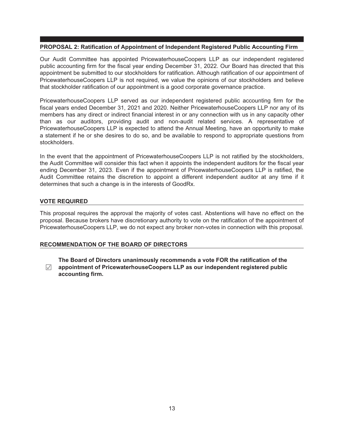#### <span id="page-20-0"></span>**PROPOSAL 2: Ratification of Appointment of Independent Registered Public Accounting Firm**

Our Audit Committee has appointed PricewaterhouseCoopers LLP as our independent registered public accounting firm for the fiscal year ending December 31, 2022. Our Board has directed that this appointment be submitted to our stockholders for ratification. Although ratification of our appointment of PricewaterhouseCoopers LLP is not required, we value the opinions of our stockholders and believe that stockholder ratification of our appointment is a good corporate governance practice.

PricewaterhouseCoopers LLP served as our independent registered public accounting firm for the fiscal years ended December 31, 2021 and 2020. Neither PricewaterhouseCoopers LLP nor any of its members has any direct or indirect financial interest in or any connection with us in any capacity other than as our auditors, providing audit and non-audit related services. A representative of PricewaterhouseCoopers LLP is expected to attend the Annual Meeting, have an opportunity to make a statement if he or she desires to do so, and be available to respond to appropriate questions from stockholders.

In the event that the appointment of PricewaterhouseCoopers LLP is not ratified by the stockholders, the Audit Committee will consider this fact when it appoints the independent auditors for the fiscal year ending December 31, 2023. Even if the appointment of PricewaterhouseCoopers LLP is ratified, the Audit Committee retains the discretion to appoint a different independent auditor at any time if it determines that such a change is in the interests of GoodRx.

#### **VOTE REQUIRED**

This proposal requires the approval the majority of votes cast. Abstentions will have no effect on the proposal. Because brokers have discretionary authority to vote on the ratification of the appointment of PricewaterhouseCoopers LLP, we do not expect any broker non-votes in connection with this proposal.

#### **RECOMMENDATION OF THE BOARD OF DIRECTORS**

Í **appointment of PricewaterhouseCoopers LLP as our independent registered public The Board of Directors unanimously recommends a vote FOR the ratification of the accounting firm.**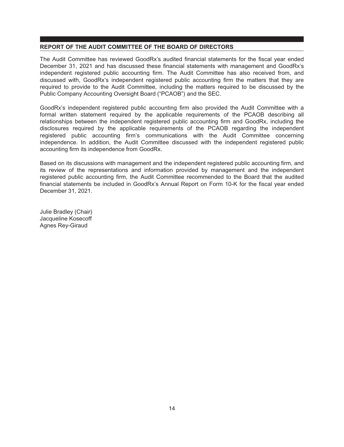#### <span id="page-21-0"></span>**REPORT OF THE AUDIT COMMITTEE OF THE BOARD OF DIRECTORS**

The Audit Committee has reviewed GoodRx's audited financial statements for the fiscal year ended December 31, 2021 and has discussed these financial statements with management and GoodRx's independent registered public accounting firm. The Audit Committee has also received from, and discussed with, GoodRx's independent registered public accounting firm the matters that they are required to provide to the Audit Committee, including the matters required to be discussed by the Public Company Accounting Oversight Board ("PCAOB") and the SEC.

GoodRx's independent registered public accounting firm also provided the Audit Committee with a formal written statement required by the applicable requirements of the PCAOB describing all relationships between the independent registered public accounting firm and GoodRx, including the disclosures required by the applicable requirements of the PCAOB regarding the independent registered public accounting firm's communications with the Audit Committee concerning independence. In addition, the Audit Committee discussed with the independent registered public accounting firm its independence from GoodRx.

Based on its discussions with management and the independent registered public accounting firm, and its review of the representations and information provided by management and the independent registered public accounting firm, the Audit Committee recommended to the Board that the audited financial statements be included in GoodRx's Annual Report on Form 10-K for the fiscal year ended December 31, 2021.

Julie Bradley (Chair) Jacqueline Kosecoff Agnes Rey-Giraud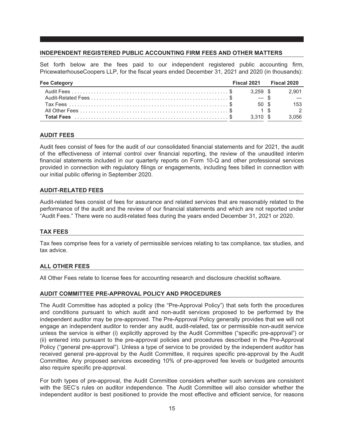#### <span id="page-22-0"></span>**INDEPENDENT REGISTERED PUBLIC ACCOUNTING FIRM FEES AND OTHER MATTERS**

Set forth below are the fees paid to our independent registered public accounting firm, PricewaterhouseCoopers LLP, for the fiscal years ended December 31, 2021 and 2020 (in thousands):

| <b>Fee Category</b> |               | Fiscal 2021 Fiscal 2020 |
|---------------------|---------------|-------------------------|
|                     |               | 2.901                   |
|                     |               |                         |
|                     | 50 \$         | 153                     |
|                     | $1 \text{ s}$ | $\overline{2}$          |
|                     | 3.310 \$      | 3.056                   |

#### **AUDIT FEES**

Audit fees consist of fees for the audit of our consolidated financial statements and for 2021, the audit of the effectiveness of internal control over financial reporting, the review of the unaudited interim financial statements included in our quarterly reports on Form 10-Q and other professional services provided in connection with regulatory filings or engagements, including fees billed in connection with our initial public offering in September 2020.

#### **AUDIT-RELATED FEES**

Audit-related fees consist of fees for assurance and related services that are reasonably related to the performance of the audit and the review of our financial statements and which are not reported under "Audit Fees." There were no audit-related fees during the years ended December 31, 2021 or 2020.

#### **TAX FEES**

Tax fees comprise fees for a variety of permissible services relating to tax compliance, tax studies, and tax advice.

#### **ALL OTHER FEES**

All Other Fees relate to license fees for accounting research and disclosure checklist software.

#### **AUDIT COMMITTEE PRE-APPROVAL POLICY AND PROCEDURES**

The Audit Committee has adopted a policy (the "Pre-Approval Policy") that sets forth the procedures and conditions pursuant to which audit and non-audit services proposed to be performed by the independent auditor may be pre-approved. The Pre-Approval Policy generally provides that we will not engage an independent auditor to render any audit, audit-related, tax or permissible non-audit service unless the service is either (i) explicitly approved by the Audit Committee ("specific pre-approval") or (ii) entered into pursuant to the pre-approval policies and procedures described in the Pre-Approval Policy ("general pre-approval"). Unless a type of service to be provided by the independent auditor has received general pre-approval by the Audit Committee, it requires specific pre-approval by the Audit Committee. Any proposed services exceeding 10% of pre-approved fee levels or budgeted amounts also require specific pre-approval.

For both types of pre-approval, the Audit Committee considers whether such services are consistent with the SEC's rules on auditor independence. The Audit Committee will also consider whether the independent auditor is best positioned to provide the most effective and efficient service, for reasons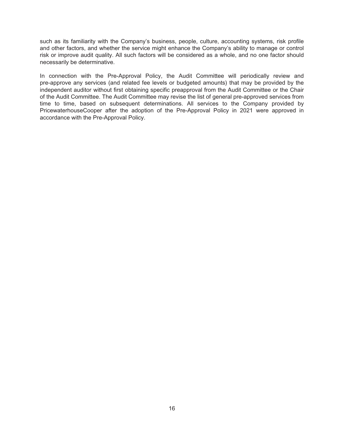such as its familiarity with the Company's business, people, culture, accounting systems, risk profile and other factors, and whether the service might enhance the Company's ability to manage or control risk or improve audit quality. All such factors will be considered as a whole, and no one factor should necessarily be determinative.

In connection with the Pre-Approval Policy, the Audit Committee will periodically review and pre-approve any services (and related fee levels or budgeted amounts) that may be provided by the independent auditor without first obtaining specific preapproval from the Audit Committee or the Chair of the Audit Committee. The Audit Committee may revise the list of general pre-approved services from time to time, based on subsequent determinations. All services to the Company provided by PricewaterhouseCooper after the adoption of the Pre-Approval Policy in 2021 were approved in accordance with the Pre-Approval Policy.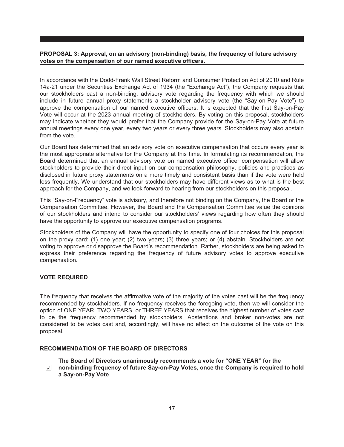#### <span id="page-24-0"></span>**PROPOSAL 3: Approval, on an advisory (non-binding) basis, the frequency of future advisory votes on the compensation of our named executive officers.**

In accordance with the Dodd-Frank Wall Street Reform and Consumer Protection Act of 2010 and Rule 14a-21 under the Securities Exchange Act of 1934 (the "Exchange Act"), the Company requests that our stockholders cast a non-binding, advisory vote regarding the frequency with which we should include in future annual proxy statements a stockholder advisory vote (the "Say-on-Pay Vote") to approve the compensation of our named executive officers. It is expected that the first Say-on-Pay Vote will occur at the 2023 annual meeting of stockholders. By voting on this proposal, stockholders may indicate whether they would prefer that the Company provide for the Say-on-Pay Vote at future annual meetings every one year, every two years or every three years. Stockholders may also abstain from the vote.

Our Board has determined that an advisory vote on executive compensation that occurs every year is the most appropriate alternative for the Company at this time. In formulating its recommendation, the Board determined that an annual advisory vote on named executive officer compensation will allow stockholders to provide their direct input on our compensation philosophy, policies and practices as disclosed in future proxy statements on a more timely and consistent basis than if the vote were held less frequently. We understand that our stockholders may have different views as to what is the best approach for the Company, and we look forward to hearing from our stockholders on this proposal.

This "Say-on-Frequency" vote is advisory, and therefore not binding on the Company, the Board or the Compensation Committee. However, the Board and the Compensation Committee value the opinions of our stockholders and intend to consider our stockholders' views regarding how often they should have the opportunity to approve our executive compensation programs.

Stockholders of the Company will have the opportunity to specify one of four choices for this proposal on the proxy card: (1) one year; (2) two years; (3) three years; or (4) abstain. Stockholders are not voting to approve or disapprove the Board's recommendation. Rather, stockholders are being asked to express their preference regarding the frequency of future advisory votes to approve executive compensation.

#### **VOTE REQUIRED**

The frequency that receives the affirmative vote of the majority of the votes cast will be the frequency recommended by stockholders. If no frequency receives the foregoing vote, then we will consider the option of ONE YEAR, TWO YEARS, or THREE YEARS that receives the highest number of votes cast to be the frequency recommended by stockholders. Abstentions and broker non-votes are not considered to be votes cast and, accordingly, will have no effect on the outcome of the vote on this proposal.

#### **RECOMMENDATION OF THE BOARD OF DIRECTORS**

**The Board of Directors unanimously recommends a vote for "ONE YEAR" for the**

 $\sqrt{}$ **non-binding frequency of future Say-on-Pay Votes, once the Company is required to hold a Say-on-Pay Vote**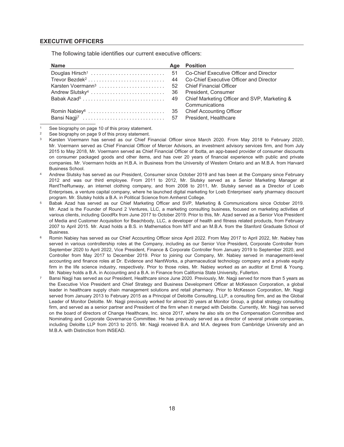#### <span id="page-25-0"></span>**EXECUTIVE OFFICERS**

The following table identifies our current executive officers:

| <b>Name</b>                   |    | Age Position                            |
|-------------------------------|----|-----------------------------------------|
|                               |    | Co-Chief Executive Officer and Director |
| Trevor Bezdek <sup>2</sup>    | 44 | Co-Chief Executive Officer and Director |
| Karsten Voermann <sup>3</sup> |    | 52 Chief Financial Officer              |
|                               |    |                                         |
|                               |    |                                         |
|                               |    | Communications                          |
|                               |    |                                         |
|                               |    |                                         |

See biography on page 10 of this proxy statement.

- <sup>4</sup> Andrew Slutsky has served as our President, Consumer since October 2019 and has been at the Company since February 2012 and was our third employee. From 2011 to 2012, Mr. Slutsky served as a Senior Marketing Manager at RentTheRunway, an internet clothing company, and from 2008 to 2011, Mr. Slutsky served as a Director of Loeb Enterprises, a venture capital company, where he launched digital marketing for Loeb Enterprises' early pharmacy discount program. Mr. Slutsky holds a B.A. in Political Science from Amherst College.
- <sup>5</sup> Babak Azad has served as our Chief Marketing Officer and SVP, Marketing & Communications since October 2019. Mr. Azad is the Founder of Round 2 Ventures, LLC, a marketing consulting business, focused on marketing activities of various clients, including GoodRx from June 2017 to October 2019. Prior to this, Mr. Azad served as a Senior Vice President of Media and Customer Acquisition for Beachbody, LLC, a developer of health and fitness related products, from February 2007 to April 2015. Mr. Azad holds a B.S. in Mathematics from MIT and an M.B.A. from the Stanford Graduate School of Business.
- <sup>6</sup> Romin Nabiey has served as our Chief Accounting Officer since April 2022. From May 2017 to April 2022, Mr. Nabiey has served in various controllership roles at the Company, including as our Senior Vice President, Corporate Controller from September 2020 to April 2022, Vice President, Finance & Corporate Controller from January 2019 to September 2020, and Controller from May 2017 to December 2019. Prior to joining our Company, Mr. Nabiey served in management-level accounting and finance roles at Dr. Evidence and NantWorks, a pharmaceutical technology company and a private equity firm in the life science industry, respectively. Prior to those roles, Mr. Nabiey worked as an auditor at Ernst & Young. Mr. Nabiey holds a B.A. in Accounting and a B.A. in Finance from California State University, Fullerton.
- Bansi Nagji has served as our President, Healthcare since June 2020. Previously, Mr. Nagji served for more than 5 years as the Executive Vice President and Chief Strategy and Business Development Officer at McKesson Corporation, a global leader in healthcare supply chain management solutions and retail pharmacy. Prior to McKesson Corporation, Mr. Nagji served from January 2013 to February 2015 as a Principal of Deloitte Consulting, LLP, a consulting firm, and as the Global Leader of Monitor Deloitte. Mr. Nagji previously worked for almost 20 years at Monitor Group, a global strategy consulting firm, and served as a senior partner and President of the firm when it merged with Deloitte. Currently, Mr. Nagji has served on the board of directors of Change Healthcare, Inc. since 2017, where he also sits on the Compensation Committee and Nominating and Corporate Governance Committee. He has previously served as a director of several private companies, including Deloitte LLP from 2013 to 2015. Mr. Nagji received B.A. and M.A. degrees from Cambridge University and an M.B.A. with Distinction from INSEAD.

<sup>2</sup> See biography on page 9 of this proxy statement.

<sup>3</sup> Karsten Voermann has served as our Chief Financial Officer since March 2020. From May 2018 to February 2020, Mr. Voermann served as Chief Financial Officer of Mercer Advisors, an investment advisory services firm, and from July 2015 to May 2018, Mr. Voermann served as Chief Financial Officer of Ibotta, an app-based provider of consumer discounts on consumer packaged goods and other items, and has over 20 years of financial experience with public and private companies. Mr. Voermann holds an H.B.A. in Business from the University of Western Ontario and an M.B.A. from Harvard Business School.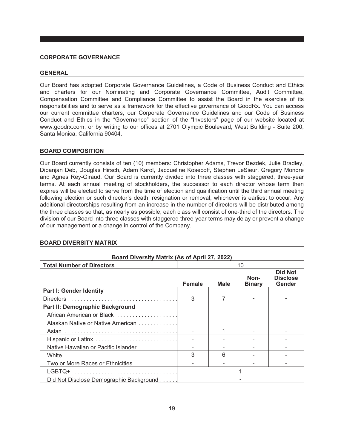#### <span id="page-26-0"></span>**CORPORATE GOVERNANCE**

#### <span id="page-26-1"></span>**GENERAL**

Our Board has adopted Corporate Governance Guidelines, a Code of Business Conduct and Ethics and charters for our Nominating and Corporate Governance Committee, Audit Committee, Compensation Committee and Compliance Committee to assist the Board in the exercise of its responsibilities and to serve as a framework for the effective governance of GoodRx. You can access our current committee charters, our Corporate Governance Guidelines and our Code of Business Conduct and Ethics in the "Governance" section of the "Investors" page of our website located at www.goodrx.com, or by writing to our offices at 2701 Olympic Boulevard, West Building - Suite 200, Santa Monica, California 90404.

#### <span id="page-26-2"></span>**BOARD COMPOSITION**

Our Board currently consists of ten (10) members: Christopher Adams, Trevor Bezdek, Julie Bradley, Dipanjan Deb, Douglas Hirsch, Adam Karol, Jacqueline Kosecoff, Stephen LeSieur, Gregory Mondre and Agnes Rey-Giraud. Our Board is currently divided into three classes with staggered, three-year terms. At each annual meeting of stockholders, the successor to each director whose term then expires will be elected to serve from the time of election and qualification until the third annual meeting following election or such director's death, resignation or removal, whichever is earliest to occur. Any additional directorships resulting from an increase in the number of directors will be distributed among the three classes so that, as nearly as possible, each class will consist of one-third of the directors. The division of our Board into three classes with staggered three-year terms may delay or prevent a change of our management or a change in control of the Company.

| Board Diversity Matrix (As of April 27, 2022) |               |      |                       |                                                    |  |
|-----------------------------------------------|---------------|------|-----------------------|----------------------------------------------------|--|
| <b>Total Number of Directors</b>              | 10            |      |                       |                                                    |  |
|                                               | <b>Female</b> | Male | Non-<br><b>Binary</b> | <b>Did Not</b><br><b>Disclose</b><br><b>Gender</b> |  |
| <b>Part I: Gender Identity</b>                |               |      |                       |                                                    |  |
|                                               | 3             |      |                       |                                                    |  |
| Part II: Demographic Background               |               |      |                       |                                                    |  |
| African American or Black                     |               |      |                       |                                                    |  |
| Alaskan Native or Native American             |               |      |                       |                                                    |  |
|                                               |               |      |                       |                                                    |  |
| Hispanic or Latinx                            |               |      |                       |                                                    |  |
| Native Hawaiian or Pacific Islander           |               |      |                       |                                                    |  |
|                                               | 3             | ิค   |                       |                                                    |  |
| Two or More Races or Ethnicities              |               |      |                       |                                                    |  |
| LGBTQ+                                        |               |      |                       |                                                    |  |
| Did Not Disclose Demographic Background       |               |      |                       |                                                    |  |

#### <span id="page-26-3"></span>**BOARD DIVERSITY MATRIX**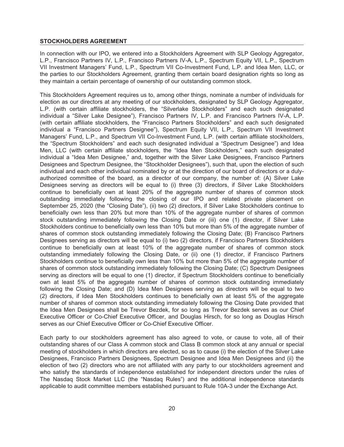#### **STOCKHOLDERS AGREEMENT**

In connection with our IPO, we entered into a Stockholders Agreement with SLP Geology Aggregator, L.P., Francisco Partners IV, L.P., Francisco Partners IV-A, L.P., Spectrum Equity VII, L.P., Spectrum VII Investment Managers' Fund, L.P., Spectrum VII Co-Investment Fund, L.P. and Idea Men, LLC, or the parties to our Stockholders Agreement, granting them certain board designation rights so long as they maintain a certain percentage of ownership of our outstanding common stock.

This Stockholders Agreement requires us to, among other things, nominate a number of individuals for election as our directors at any meeting of our stockholders, designated by SLP Geology Aggregator, L.P. (with certain affiliate stockholders, the "Silverlake Stockholders" and each such designated individual a "Silver Lake Designee"), Francisco Partners IV, L.P. and Francisco Partners IV-A, L.P. (with certain affiliate stockholders, the "Francisco Partners Stockholders" and each such designated individual a "Francisco Partners Designee"), Spectrum Equity VII, L.P., Spectrum VII Investment Managers' Fund, L.P., and Spectrum VII Co-Investment Fund, L.P. (with certain affiliate stockholders, the "Spectrum Stockholders" and each such designated individual a "Spectrum Designee") and Idea Men, LLC (with certain affiliate stockholders, the "Idea Men Stockholders," each such designated individual a "Idea Men Designee," and, together with the Silver Lake Designees, Francisco Partners Designees and Spectrum Designee, the "Stockholder Designees"), such that, upon the election of such individual and each other individual nominated by or at the direction of our board of directors or a dulyauthorized committee of the board, as a director of our company, the number of: (A) Silver Lake Designees serving as directors will be equal to (i) three (3) directors, if Silver Lake Stockholders continue to beneficially own at least 20% of the aggregate number of shares of common stock outstanding immediately following the closing of our IPO and related private placement on September 25, 2020 (the "Closing Date"), (ii) two (2) directors, if Silver Lake Stockholders continue to beneficially own less than 20% but more than 10% of the aggregate number of shares of common stock outstanding immediately following the Closing Date or (iii) one (1) director, if Silver Lake Stockholders continue to beneficially own less than 10% but more than 5% of the aggregate number of shares of common stock outstanding immediately following the Closing Date; (B) Francisco Partners Designees serving as directors will be equal to (i) two (2) directors, if Francisco Partners Stockholders continue to beneficially own at least 10% of the aggregate number of shares of common stock outstanding immediately following the Closing Date, or (ii) one (1) director, if Francisco Partners Stockholders continue to beneficially own less than 10% but more than 5% of the aggregate number of shares of common stock outstanding immediately following the Closing Date; (C) Spectrum Designees serving as directors will be equal to one (1) director, if Spectrum Stockholders continue to beneficially own at least 5% of the aggregate number of shares of common stock outstanding immediately following the Closing Date; and (D) Idea Men Designees serving as directors will be equal to two (2) directors, if Idea Men Stockholders continues to beneficially own at least 5% of the aggregate number of shares of common stock outstanding immediately following the Closing Date provided that the Idea Men Designees shall be Trevor Bezdek, for so long as Trevor Bezdek serves as our Chief Executive Officer or Co-Chief Executive Officer, and Douglas Hirsch, for so long as Douglas Hirsch serves as our Chief Executive Officer or Co-Chief Executive Officer.

Each party to our stockholders agreement has also agreed to vote, or cause to vote, all of their outstanding shares of our Class A common stock and Class B common stock at any annual or special meeting of stockholders in which directors are elected, so as to cause (i) the election of the Silver Lake Designees, Francisco Partners Designees, Spectrum Designee and Idea Men Designees and (ii) the election of two (2) directors who are not affiliated with any party to our stockholders agreement and who satisfy the standards of independence established for independent directors under the rules of The Nasdaq Stock Market LLC (the "Nasdaq Rules") and the additional independence standards applicable to audit committee members established pursuant to Rule 10A-3 under the Exchange Act.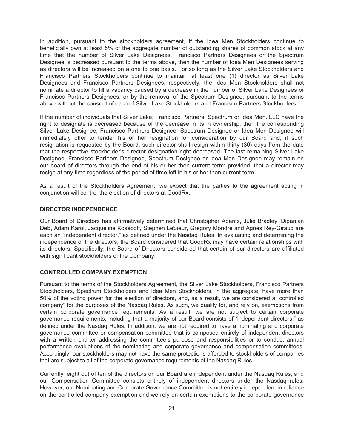In addition, pursuant to the stockholders agreement, if the Idea Men Stockholders continue to beneficially own at least 5% of the aggregate number of outstanding shares of common stock at any time that the number of Silver Lake Designees, Francisco Partners Designees or the Spectrum Designee is decreased pursuant to the terms above, then the number of Idea Men Designees serving as directors will be increased on a one to one basis. For so long as the Silver Lake Stockholders and Francisco Partners Stockholders continue to maintain at least one (1) director as Silver Lake Designees and Francisco Partners Designees, respectively, the Idea Men Stockholders shall not nominate a director to fill a vacancy caused by a decrease in the number of Silver Lake Designees or Francisco Partners Designees, or by the removal of the Spectrum Designee, pursuant to the terms above without the consent of each of Silver Lake Stockholders and Francisco Partners Stockholders.

If the number of individuals that Silver Lake, Francisco Partners, Spectrum or Idea Men, LLC have the right to designate is decreased because of the decrease in its in ownership, then the corresponding Silver Lake Designee, Francisco Partners Designee, Spectrum Designee or Idea Men Designee will immediately offer to tender his or her resignation for consideration by our Board and, if such resignation is requested by the Board, such director shall resign within thirty (30) days from the date that the respective stockholder's director designation right decreased. The last remaining Silver Lake Designee, Francisco Partners Designee, Spectrum Designee or Idea Men Designee may remain on our board of directors through the end of his or her then current term; provided, that a director may resign at any time regardless of the period of time left in his or her then current term.

As a result of the Stockholders Agreement, we expect that the parties to the agreement acting in conjunction will control the election of directors at GoodRx.

#### <span id="page-28-0"></span>**DIRECTOR INDEPENDENCE**

Our Board of Directors has affirmatively determined that Christopher Adams, Julie Bradley, Dipanjan Deb, Adam Karol, Jacqueline Kosecoff, Stephen LeSieur, Gregory Mondre and Agnes Rey-Giraud are each an "independent director," as defined under the Nasdaq Rules. In evaluating and determining the independence of the directors, the Board considered that GoodRx may have certain relationships with its directors. Specifically, the Board of Directors considered that certain of our directors are affiliated with significant stockholders of the Company.

#### <span id="page-28-1"></span>**CONTROLLED COMPANY EXEMPTION**

Pursuant to the terms of the Stockholders Agreement, the Silver Lake Stockholders, Francisco Partners Stockholders, Spectrum Stockholders and Idea Men Stockholders, in the aggregate, have more than 50% of the voting power for the election of directors, and, as a result, we are considered a "controlled company" for the purposes of the Nasdaq Rules. As such, we qualify for, and rely on, exemptions from certain corporate governance requirements. As a result, we are not subject to certain corporate governance requirements, including that a majority of our Board consists of "independent directors," as defined under the Nasdaq Rules. In addition, we are not required to have a nominating and corporate governance committee or compensation committee that is composed entirely of independent directors with a written charter addressing the committee's purpose and responsibilities or to conduct annual performance evaluations of the nominating and corporate governance and compensation committees. Accordingly, our stockholders may not have the same protections afforded to stockholders of companies that are subject to all of the corporate governance requirements of the Nasdaq Rules.

Currently, eight out of ten of the directors on our Board are independent under the Nasdaq Rules, and our Compensation Committee consists entirely of independent directors under the Nasdaq rules. However, our Nominating and Corporate Governance Committee is not entirely independent in reliance on the controlled company exemption and we rely on certain exemptions to the corporate governance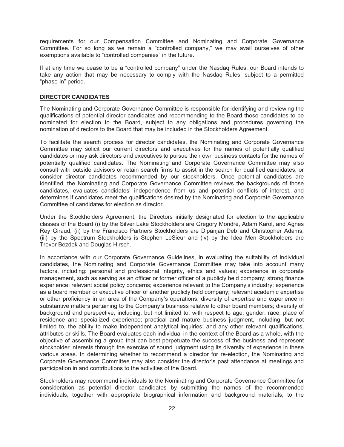requirements for our Compensation Committee and Nominating and Corporate Governance Committee. For so long as we remain a "controlled company," we may avail ourselves of other exemptions available to "controlled companies" in the future.

If at any time we cease to be a "controlled company" under the Nasdaq Rules, our Board intends to take any action that may be necessary to comply with the Nasdaq Rules, subject to a permitted "phase-in" period.

#### <span id="page-29-0"></span>**DIRECTOR CANDIDATES**

The Nominating and Corporate Governance Committee is responsible for identifying and reviewing the qualifications of potential director candidates and recommending to the Board those candidates to be nominated for election to the Board, subject to any obligations and procedures governing the nomination of directors to the Board that may be included in the Stockholders Agreement.

To facilitate the search process for director candidates, the Nominating and Corporate Governance Committee may solicit our current directors and executives for the names of potentially qualified candidates or may ask directors and executives to pursue their own business contacts for the names of potentially qualified candidates. The Nominating and Corporate Governance Committee may also consult with outside advisors or retain search firms to assist in the search for qualified candidates, or consider director candidates recommended by our stockholders. Once potential candidates are identified, the Nominating and Corporate Governance Committee reviews the backgrounds of those candidates, evaluates candidates' independence from us and potential conflicts of interest, and determines if candidates meet the qualifications desired by the Nominating and Corporate Governance Committee of candidates for election as director.

Under the Stockholders Agreement, the Directors initially designated for election to the applicable classes of the Board (i) by the Silver Lake Stockholders are Gregory Mondre, Adam Karol, and Agnes Rey Giraud, (ii) by the Francisco Partners Stockholders are Dipanjan Deb and Christopher Adams, (iii) by the Spectrum Stockholders is Stephen LeSieur and (iv) by the Idea Men Stockholders are Trevor Bezdek and Douglas Hirsch.

In accordance with our Corporate Governance Guidelines, in evaluating the suitability of individual candidates, the Nominating and Corporate Governance Committee may take into account many factors, including: personal and professional integrity, ethics and values; experience in corporate management, such as serving as an officer or former officer of a publicly held company; strong finance experience; relevant social policy concerns; experience relevant to the Company's industry; experience as a board member or executive officer of another publicly held company; relevant academic expertise or other proficiency in an area of the Company's operations; diversity of expertise and experience in substantive matters pertaining to the Company's business relative to other board members; diversity of background and perspective, including, but not limited to, with respect to age, gender, race, place of residence and specialized experience; practical and mature business judgment, including, but not limited to, the ability to make independent analytical inquiries; and any other relevant qualifications, attributes or skills. The Board evaluates each individual in the context of the Board as a whole, with the objective of assembling a group that can best perpetuate the success of the business and represent stockholder interests through the exercise of sound judgment using its diversity of experience in these various areas. In determining whether to recommend a director for re-election, the Nominating and Corporate Governance Committee may also consider the director's past attendance at meetings and participation in and contributions to the activities of the Board.

Stockholders may recommend individuals to the Nominating and Corporate Governance Committee for consideration as potential director candidates by submitting the names of the recommended individuals, together with appropriate biographical information and background materials, to the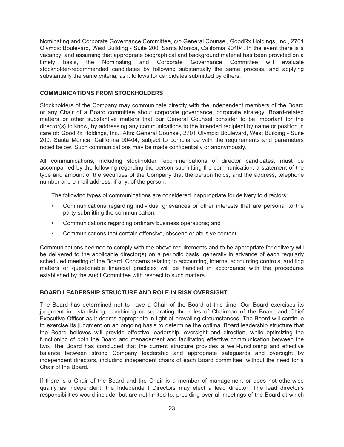Nominating and Corporate Governance Committee, c/o General Counsel, GoodRx Holdings, Inc., 2701 Olympic Boulevard, West Building - Suite 200, Santa Monica, California 90404. In the event there is a vacancy, and assuming that appropriate biographical and background material has been provided on a timely basis, the Nominating and Corporate Governance Committee will evaluate stockholder-recommended candidates by following substantially the same process, and applying substantially the same criteria, as it follows for candidates submitted by others.

#### **COMMUNICATIONS FROM STOCKHOLDERS**

Stockholders of the Company may communicate directly with the independent members of the Board or any Chair of a Board committee about corporate governance, corporate strategy, Board-related matters or other substantive matters that our General Counsel consider to be important for the director(s) to know, by addressing any communications to the intended recipient by name or position in care of: GoodRx Holdings, Inc., Attn: General Counsel, 2701 Olympic Boulevard, West Building - Suite 200, Santa Monica, California 90404, subject to compliance with the requirements and parameters noted below. Such communications may be made confidentially or anonymously.

All communications, including stockholder recommendations of director candidates, must be accompanied by the following regarding the person submitting the communication: a statement of the type and amount of the securities of the Company that the person holds, and the address, telephone number and e-mail address, if any, of the person.

The following types of communications are considered inappropriate for delivery to directors:

- Communications regarding individual grievances or other interests that are personal to the party submitting the communication;
- Communications regarding ordinary business operations; and
- Communications that contain offensive, obscene or abusive content.

Communications deemed to comply with the above requirements and to be appropriate for delivery will be delivered to the applicable director(s) on a periodic basis, generally in advance of each regularly scheduled meeting of the Board. Concerns relating to accounting, internal accounting controls, auditing matters or questionable financial practices will be handled in accordance with the procedures established by the Audit Committee with respect to such matters.

#### <span id="page-30-0"></span>**BOARD LEADERSHIP STRUCTURE AND ROLE IN RISK OVERSIGHT**

The Board has determined not to have a Chair of the Board at this time. Our Board exercises its judgment in establishing, combining or separating the roles of Chairman of the Board and Chief Executive Officer as it deems appropriate in light of prevailing circumstances. The Board will continue to exercise its judgment on an ongoing basis to determine the optimal Board leadership structure that the Board believes will provide effective leadership, oversight and direction, while optimizing the functioning of both the Board and management and facilitating effective communication between the two. The Board has concluded that the current structure provides a well-functioning and effective balance between strong Company leadership and appropriate safeguards and oversight by independent directors, including independent chairs of each Board committee, without the need for a Chair of the Board.

If there is a Chair of the Board and the Chair is a member of management or does not otherwise qualify as independent, the Independent Directors may elect a lead director. The lead director's responsibilities would include, but are not limited to: presiding over all meetings of the Board at which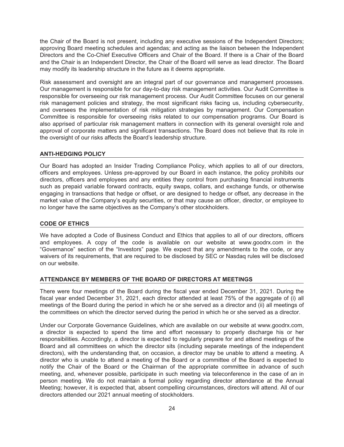the Chair of the Board is not present, including any executive sessions of the Independent Directors; approving Board meeting schedules and agendas; and acting as the liaison between the Independent Directors and the Co-Chief Executive Officers and Chair of the Board. If there is a Chair of the Board and the Chair is an Independent Director, the Chair of the Board will serve as lead director. The Board may modify its leadership structure in the future as it deems appropriate.

Risk assessment and oversight are an integral part of our governance and management processes. Our management is responsible for our day-to-day risk management activities. Our Audit Committee is responsible for overseeing our risk management process. Our Audit Committee focuses on our general risk management policies and strategy, the most significant risks facing us, including cybersecurity, and oversees the implementation of risk mitigation strategies by management. Our Compensation Committee is responsible for overseeing risks related to our compensation programs. Our Board is also apprised of particular risk management matters in connection with its general oversight role and approval of corporate matters and significant transactions. The Board does not believe that its role in the oversight of our risks affects the Board's leadership structure.

#### **ANTI-HEDGING POLICY**

Our Board has adopted an Insider Trading Compliance Policy, which applies to all of our directors, officers and employees. Unless pre-approved by our Board in each instance, the policy prohibits our directors, officers and employees and any entities they control from purchasing financial instruments such as prepaid variable forward contracts, equity swaps, collars, and exchange funds, or otherwise engaging in transactions that hedge or offset, or are designed to hedge or offset, any decrease in the market value of the Company's equity securities, or that may cause an officer, director, or employee to no longer have the same objectives as the Company's other stockholders.

#### <span id="page-31-0"></span>**CODE OF ETHICS**

We have adopted a Code of Business Conduct and Ethics that applies to all of our directors, officers and employees. A copy of the code is available on our website at www.goodrx.com in the "Governance" section of the "Investors" page. We expect that any amendments to the code, or any waivers of its requirements, that are required to be disclosed by SEC or Nasdaq rules will be disclosed on our website.

#### <span id="page-31-1"></span>**ATTENDANCE BY MEMBERS OF THE BOARD OF DIRECTORS AT MEETINGS**

There were four meetings of the Board during the fiscal year ended December 31, 2021. During the fiscal year ended December 31, 2021, each director attended at least 75% of the aggregate of (i) all meetings of the Board during the period in which he or she served as a director and (ii) all meetings of the committees on which the director served during the period in which he or she served as a director.

Under our Corporate Governance Guidelines, which are available on our website at www.goodrx.com, a director is expected to spend the time and effort necessary to properly discharge his or her responsibilities. Accordingly, a director is expected to regularly prepare for and attend meetings of the Board and all committees on which the director sits (including separate meetings of the independent directors), with the understanding that, on occasion, a director may be unable to attend a meeting. A director who is unable to attend a meeting of the Board or a committee of the Board is expected to notify the Chair of the Board or the Chairman of the appropriate committee in advance of such meeting, and, whenever possible, participate in such meeting via teleconference in the case of an in person meeting. We do not maintain a formal policy regarding director attendance at the Annual Meeting; however, it is expected that, absent compelling circumstances, directors will attend. All of our directors attended our 2021 annual meeting of stockholders.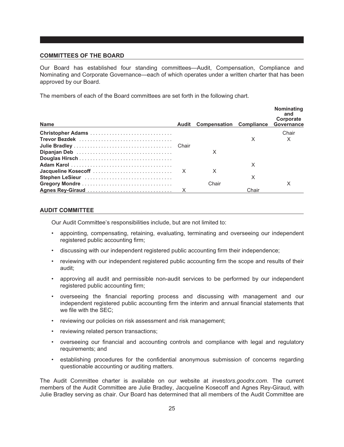#### <span id="page-32-0"></span>**COMMITTEES OF THE BOARD**

Our Board has established four standing committees—Audit, Compensation, Compliance and Nominating and Corporate Governance—each of which operates under a written charter that has been approved by our Board.

The members of each of the Board committees are set forth in the following chart.

| <b>Name</b>     | <b>Audit Compensation Compliance</b> |       | Nominating<br>and<br>Corporate<br>Governance |
|-----------------|--------------------------------------|-------|----------------------------------------------|
|                 |                                      |       | Chair                                        |
|                 |                                      | X     |                                              |
|                 |                                      |       |                                              |
|                 | X                                    |       |                                              |
|                 |                                      |       |                                              |
|                 |                                      | х     |                                              |
|                 | x                                    |       |                                              |
| Stephen LeSieur |                                      | X     |                                              |
|                 | Chair                                |       | x                                            |
|                 |                                      | Chair |                                              |

#### <span id="page-32-1"></span>**AUDIT COMMITTEE**

Our Audit Committee's responsibilities include, but are not limited to:

- appointing, compensating, retaining, evaluating, terminating and overseeing our independent registered public accounting firm;
- discussing with our independent registered public accounting firm their independence;
- reviewing with our independent registered public accounting firm the scope and results of their audit;
- approving all audit and permissible non-audit services to be performed by our independent registered public accounting firm;
- overseeing the financial reporting process and discussing with management and our independent registered public accounting firm the interim and annual financial statements that we file with the SEC;
- reviewing our policies on risk assessment and risk management;
- reviewing related person transactions;
- overseeing our financial and accounting controls and compliance with legal and regulatory requirements; and
- establishing procedures for the confidential anonymous submission of concerns regarding questionable accounting or auditing matters.

The Audit Committee charter is available on our website at *investors.goodrx.com*. The current members of the Audit Committee are Julie Bradley, Jacqueline Kosecoff and Agnes Rey-Giraud, with Julie Bradley serving as chair. Our Board has determined that all members of the Audit Committee are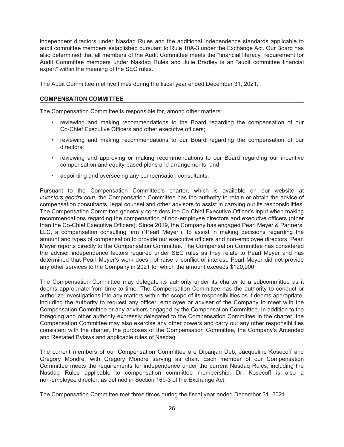independent directors under Nasdaq Rules and the additional independence standards applicable to audit committee members established pursuant to Rule 10A-3 under the Exchange Act. Our Board has also determined that all members of the Audit Committee meets the "financial literacy" requirement for Audit Committee members under Nasdaq Rules and Julie Bradley is an "audit committee financial expert" within the meaning of the SEC rules.

The Audit Committee met five times during the fiscal year ended December 31, 2021.

#### <span id="page-33-0"></span>**COMPENSATION COMMITTEE**

The Compensation Committee is responsible for, among other matters:

- reviewing and making recommendations to the Board regarding the compensation of our Co-Chief Executive Officers and other executive officers;
- reviewing and making recommendations to our Board regarding the compensation of our directors;
- reviewing and approving or making recommendations to our Board regarding our incentive compensation and equity-based plans and arrangements; and
- appointing and overseeing any compensation consultants.

Pursuant to the Compensation Committee's charter, which is available on our website at *investors.goodrx.com*, the Compensation Committee has the authority to retain or obtain the advice of compensation consultants, legal counsel and other advisors to assist in carrying out its responsibilities. The Compensation Committee generally considers the Co-Chief Executive Officer's input when making recommendations regarding the compensation of non-employee directors and executive officers (other than the Co-Chief Executive Officers). Since 2019, the Company has engaged Pearl Meyer & Partners, LLC, a compensation consulting firm ("Pearl Meyer"), to assist in making decisions regarding the amount and types of compensation to provide our executive officers and non-employee directors. Pearl Meyer reports directly to the Compensation Committee. The Compensation Committee has considered the adviser independence factors required under SEC rules as they relate to Pearl Meyer and has determined that Pearl Meyer's work does not raise a conflict of interest. Pearl Meyer did not provide any other services to the Company in 2021 for which the amount exceeds \$120,000.

The Compensation Committee may delegate its authority under its charter to a subcommittee as it deems appropriate from time to time. The Compensation Committee has the authority to conduct or authorize investigations into any matters within the scope of its responsibilities as it deems appropriate, including the authority to request any officer, employee or adviser of the Company to meet with the Compensation Committee or any advisers engaged by the Compensation Committee. In addition to the foregoing and other authority expressly delegated to the Compensation Committee in the charter, the Compensation Committee may also exercise any other powers and carry out any other responsibilities consistent with the charter, the purposes of the Compensation Committee, the Company's Amended and Restated Bylaws and applicable rules of Nasdaq.

The current members of our Compensation Committee are Dipanjan Deb, Jacqueline Kosecoff and Gregory Mondre, with Gregory Mondre serving as chair. Each member of our Compensation Committee meets the requirements for independence under the current Nasdaq Rules, including the Nasdaq Rules applicable to compensation committee membership. Dr. Kosecoff is also a non-employee director, as defined in Section 16b-3 of the Exchange Act.

The Compensation Committee met three times during the fiscal year ended December 31, 2021.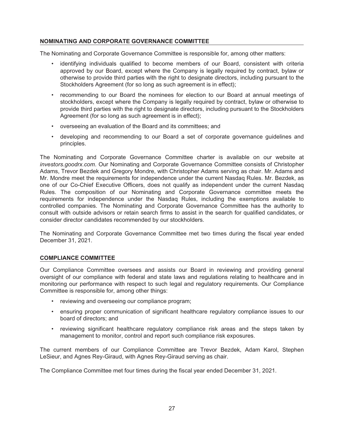#### <span id="page-34-0"></span>**NOMINATING AND CORPORATE GOVERNANCE COMMITTEE**

The Nominating and Corporate Governance Committee is responsible for, among other matters:

- identifying individuals qualified to become members of our Board, consistent with criteria approved by our Board, except where the Company is legally required by contract, bylaw or otherwise to provide third parties with the right to designate directors, including pursuant to the Stockholders Agreement (for so long as such agreement is in effect);
- recommending to our Board the nominees for election to our Board at annual meetings of stockholders, except where the Company is legally required by contract, bylaw or otherwise to provide third parties with the right to designate directors, including pursuant to the Stockholders Agreement (for so long as such agreement is in effect);
- overseeing an evaluation of the Board and its committees; and
- developing and recommending to our Board a set of corporate governance guidelines and principles.

The Nominating and Corporate Governance Committee charter is available on our website at *investors.goodrx.com*. Our Nominating and Corporate Governance Committee consists of Christopher Adams, Trevor Bezdek and Gregory Mondre, with Christopher Adams serving as chair. Mr. Adams and Mr. Mondre meet the requirements for independence under the current Nasdaq Rules. Mr. Bezdek, as one of our Co-Chief Executive Officers, does not qualify as independent under the current Nasdaq Rules. The composition of our Nominating and Corporate Governance committee meets the requirements for independence under the Nasdaq Rules, including the exemptions available to controlled companies. The Nominating and Corporate Governance Committee has the authority to consult with outside advisors or retain search firms to assist in the search for qualified candidates, or consider director candidates recommended by our stockholders.

The Nominating and Corporate Governance Committee met two times during the fiscal year ended December 31, 2021.

#### **COMPLIANCE COMMITTEE**

Our Compliance Committee oversees and assists our Board in reviewing and providing general oversight of our compliance with federal and state laws and regulations relating to healthcare and in monitoring our performance with respect to such legal and regulatory requirements. Our Compliance Committee is responsible for, among other things:

- reviewing and overseeing our compliance program;
- ensuring proper communication of significant healthcare regulatory compliance issues to our board of directors; and
- reviewing significant healthcare regulatory compliance risk areas and the steps taken by management to monitor, control and report such compliance risk exposures.

The current members of our Compliance Committee are Trevor Bezdek, Adam Karol, Stephen LeSieur, and Agnes Rey-Giraud, with Agnes Rey-Giraud serving as chair.

The Compliance Committee met four times during the fiscal year ended December 31, 2021.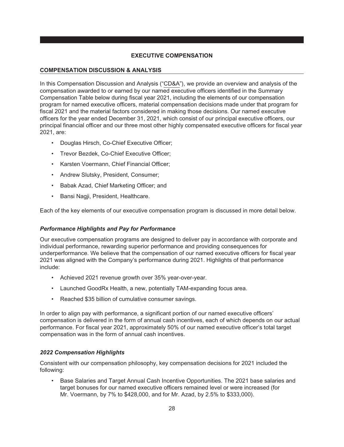#### **EXECUTIVE COMPENSATION**

#### <span id="page-35-1"></span><span id="page-35-0"></span>**COMPENSATION DISCUSSION & ANALYSIS**

In this Compensation Discussion and Analysis ("CD&A"), we provide an overview and analysis of the compensation awarded to or earned by our named executive officers identified in the Summary Compensation Table below during fiscal year 2021, including the elements of our compensation program for named executive officers, material compensation decisions made under that program for fiscal 2021 and the material factors considered in making those decisions. Our named executive officers for the year ended December 31, 2021, which consist of our principal executive officers, our principal financial officer and our three most other highly compensated executive officers for fiscal year 2021, are:

- Douglas Hirsch, Co-Chief Executive Officer;
- Trevor Bezdek, Co-Chief Executive Officer;
- Karsten Voermann, Chief Financial Officer;
- Andrew Slutsky, President, Consumer;
- Babak Azad, Chief Marketing Officer; and
- Bansi Nagji, President, Healthcare.

Each of the key elements of our executive compensation program is discussed in more detail below.

#### *Performance Highlights and Pay for Performance*

Our executive compensation programs are designed to deliver pay in accordance with corporate and individual performance, rewarding superior performance and providing consequences for underperformance. We believe that the compensation of our named executive officers for fiscal year 2021 was aligned with the Company's performance during 2021. Highlights of that performance include:

- Achieved 2021 revenue growth over 35% year-over-year.
- Launched GoodRx Health, a new, potentially TAM-expanding focus area.
- Reached \$35 billion of cumulative consumer savings.

In order to align pay with performance, a significant portion of our named executive officers' compensation is delivered in the form of annual cash incentives, each of which depends on our actual performance. For fiscal year 2021, approximately 50% of our named executive officer's total target compensation was in the form of annual cash incentives.

#### *2022 Compensation Highlights*

Consistent with our compensation philosophy, key compensation decisions for 2021 included the following:

• Base Salaries and Target Annual Cash Incentive Opportunities. The 2021 base salaries and target bonuses for our named executive officers remained level or were increased (for Mr. Voermann, by 7% to \$428,000, and for Mr. Azad, by 2.5% to \$333,000).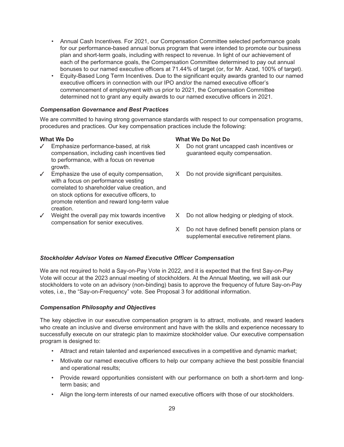- Annual Cash Incentives. For 2021, our Compensation Committee selected performance goals for our performance-based annual bonus program that were intended to promote our business plan and short-term goals, including with respect to revenue. In light of our achievement of each of the performance goals, the Compensation Committee determined to pay out annual bonuses to our named executive officers at 71.44% of target (or, for Mr. Azad, 100% of target).
- Equity-Based Long Term Incentives. Due to the significant equity awards granted to our named executive officers in connection with our IPO and/or the named executive officer's commencement of employment with us prior to 2021, the Compensation Committee determined not to grant any equity awards to our named executive officers in 2021.

#### *Compensation Governance and Best Practices*

We are committed to having strong governance standards with respect to our compensation programs, procedures and practices. Our key compensation practices include the following:

- ✓ Emphasize performance-based, at risk compensation, including cash incentives tied to performance, with a focus on revenue growth.
- ✓ Emphasize the use of equity compensation, with a focus on performance vesting correlated to shareholder value creation, and on stock options for executive officers, to promote retention and reward long-term value creation.
- ✓ Weight the overall pay mix towards incentive compensation for senior executives.

#### **What We Do What We Do Not Do**

- X Do not grant uncapped cash incentives or guaranteed equity compensation.
- X Do not provide significant perquisites.
- X Do not allow hedging or pledging of stock.
- X Do not have defined benefit pension plans or supplemental executive retirement plans.

#### *Stockholder Advisor Votes on Named Executive Officer Compensation*

We are not required to hold a Say-on-Pay Vote in 2022, and it is expected that the first Say-on-Pay Vote will occur at the 2023 annual meeting of stockholders. At the Annual Meeting, we will ask our stockholders to vote on an advisory (non-binding) basis to approve the frequency of future Say-on-Pay votes, i.e., the "Say-on-Frequency" vote. See Proposal 3 for additional information.

#### *Compensation Philosophy and Objectives*

The key objective in our executive compensation program is to attract, motivate, and reward leaders who create an inclusive and diverse environment and have with the skills and experience necessary to successfully execute on our strategic plan to maximize stockholder value. Our executive compensation program is designed to:

- Attract and retain talented and experienced executives in a competitive and dynamic market;
- Motivate our named executive officers to help our company achieve the best possible financial and operational results;
- Provide reward opportunities consistent with our performance on both a short-term and longterm basis; and
- Align the long-term interests of our named executive officers with those of our stockholders.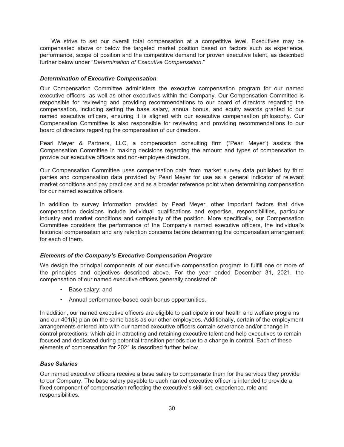We strive to set our overall total compensation at a competitive level. Executives may be compensated above or below the targeted market position based on factors such as experience, performance, scope of position and the competitive demand for proven executive talent, as described further below under "*Determination of Executive Compensation*."

#### *Determination of Executive Compensation*

Our Compensation Committee administers the executive compensation program for our named executive officers, as well as other executives within the Company. Our Compensation Committee is responsible for reviewing and providing recommendations to our board of directors regarding the compensation, including setting the base salary, annual bonus, and equity awards granted to our named executive officers, ensuring it is aligned with our executive compensation philosophy. Our Compensation Committee is also responsible for reviewing and providing recommendations to our board of directors regarding the compensation of our directors.

Pearl Meyer & Partners, LLC, a compensation consulting firm ("Pearl Meyer") assists the Compensation Committee in making decisions regarding the amount and types of compensation to provide our executive officers and non-employee directors.

Our Compensation Committee uses compensation data from market survey data published by third parties and compensation data provided by Pearl Meyer for use as a general indicator of relevant market conditions and pay practices and as a broader reference point when determining compensation for our named executive officers.

In addition to survey information provided by Pearl Meyer, other important factors that drive compensation decisions include individual qualifications and expertise, responsibilities, particular industry and market conditions and complexity of the position. More specifically, our Compensation Committee considers the performance of the Company's named executive officers, the individual's historical compensation and any retention concerns before determining the compensation arrangement for each of them.

#### *Elements of the Company's Executive Compensation Program*

We design the principal components of our executive compensation program to fulfill one or more of the principles and objectives described above. For the year ended December 31, 2021, the compensation of our named executive officers generally consisted of:

- Base salary; and
- Annual performance-based cash bonus opportunities.

In addition, our named executive officers are eligible to participate in our health and welfare programs and our 401(k) plan on the same basis as our other employees. Additionally, certain of the employment arrangements entered into with our named executive officers contain severance and/or change in control protections, which aid in attracting and retaining executive talent and help executives to remain focused and dedicated during potential transition periods due to a change in control. Each of these elements of compensation for 2021 is described further below.

#### *Base Salaries*

Our named executive officers receive a base salary to compensate them for the services they provide to our Company. The base salary payable to each named executive officer is intended to provide a fixed component of compensation reflecting the executive's skill set, experience, role and responsibilities.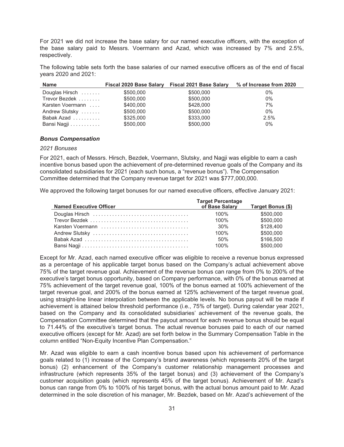For 2021 we did not increase the base salary for our named executive officers, with the exception of the base salary paid to Messrs. Voermann and Azad, which was increased by 7% and 2.5%, respectively.

The following table sets forth the base salaries of our named executive officers as of the end of fiscal years 2020 and 2021:

| <b>Name</b>      |           | Fiscal 2020 Base Salary Fiscal 2021 Base Salary | % of Increase from 2020 |
|------------------|-----------|-------------------------------------------------|-------------------------|
| Douglas Hirsch   | \$500,000 | \$500,000                                       | 0%                      |
| Trevor Bezdek    | \$500,000 | \$500,000                                       | $0\%$                   |
| Karsten Voermann | \$400,000 | \$428,000                                       | 7%                      |
| Andrew Slutsky   | \$500,000 | \$500,000                                       | $0\%$                   |
| Babak Azad       | \$325,000 | \$333,000                                       | 2.5%                    |
| Bansi Nagji      | \$500,000 | \$500,000                                       | 0%                      |

#### *Bonus Compensation*

#### *2021 Bonuses*

For 2021, each of Messrs. Hirsch, Bezdek, Voermann, Slutsky, and Nagji was eligible to earn a cash incentive bonus based upon the achievement of pre-determined revenue goals of the Company and its consolidated subsidiaries for 2021 (each such bonus, a "revenue bonus"). The Compensation Committee determined that the Company revenue target for 2021 was \$777,000,000.

We approved the following target bonuses for our named executive officers, effective January 2021:

| <b>Named Executive Officer</b> | <b>Target Percentage</b><br>of Base Salary | Target Bonus (\$) |
|--------------------------------|--------------------------------------------|-------------------|
|                                | 100%                                       | \$500,000         |
|                                | 100%                                       | \$500,000         |
| Karsten Voermann               | 30%                                        | \$128,400         |
|                                | 100%                                       | \$500,000         |
|                                | 50%                                        | \$166,500         |
|                                | 100%                                       | \$500,000         |

Except for Mr. Azad, each named executive officer was eligible to receive a revenue bonus expressed as a percentage of his applicable target bonus based on the Company's actual achievement above 75% of the target revenue goal. Achievement of the revenue bonus can range from 0% to 200% of the executive's target bonus opportunity, based on Company performance, with 0% of the bonus earned at 75% achievement of the target revenue goal, 100% of the bonus earned at 100% achievement of the target revenue goal, and 200% of the bonus earned at 125% achievement of the target revenue goal, using straight-line linear interpolation between the applicable levels. No bonus payout will be made if achievement is attained below threshold performance (i.e., 75% of target). During calendar year 2021, based on the Company and its consolidated subsidiaries' achievement of the revenue goals, the Compensation Committee determined that the payout amount for each revenue bonus should be equal to 71.44% of the executive's target bonus. The actual revenue bonuses paid to each of our named executive officers (except for Mr. Azad) are set forth below in the Summary Compensation Table in the column entitled "Non-Equity Incentive Plan Compensation."

Mr. Azad was eligible to earn a cash incentive bonus based upon his achievement of performance goals related to (1) increase of the Company's brand awareness (which represents 20% of the target bonus) (2) enhancement of the Company's customer relationship management processes and infrastructure (which represents 35% of the target bonus) and (3) achievement of the Company's customer acquisition goals (which represents 45% of the target bonus). Achievement of Mr. Azad's bonus can range from 0% to 100% of his target bonus, with the actual bonus amount paid to Mr. Azad determined in the sole discretion of his manager, Mr. Bezdek, based on Mr. Azad's achievement of the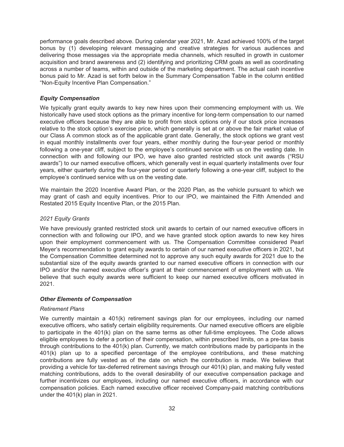performance goals described above. During calendar year 2021, Mr. Azad achieved 100% of the target bonus by (1) developing relevant messaging and creative strategies for various audiences and delivering those messages via the appropriate media channels, which resulted in growth in customer acquisition and brand awareness and (2) identifying and prioritizing CRM goals as well as coordinating across a number of teams, within and outside of the marketing department. The actual cash incentive bonus paid to Mr. Azad is set forth below in the Summary Compensation Table in the column entitled "Non-Equity Incentive Plan Compensation."

#### *Equity Compensation*

We typically grant equity awards to key new hires upon their commencing employment with us. We historically have used stock options as the primary incentive for long-term compensation to our named executive officers because they are able to profit from stock options only if our stock price increases relative to the stock option's exercise price, which generally is set at or above the fair market value of our Class A common stock as of the applicable grant date. Generally, the stock options we grant vest in equal monthly installments over four years, either monthly during the four-year period or monthly following a one-year cliff, subject to the employee's continued service with us on the vesting date. In connection with and following our IPO, we have also granted restricted stock unit awards ("RSU awards") to our named executive officers, which generally vest in equal quarterly installments over four years, either quarterly during the four-year period or quarterly following a one-year cliff, subject to the employee's continued service with us on the vesting date.

We maintain the 2020 Incentive Award Plan, or the 2020 Plan, as the vehicle pursuant to which we may grant of cash and equity incentives. Prior to our IPO, we maintained the Fifth Amended and Restated 2015 Equity Incentive Plan, or the 2015 Plan.

#### *2021 Equity Grants*

We have previously granted restricted stock unit awards to certain of our named executive officers in connection with and following our IPO, and we have granted stock option awards to new key hires upon their employment commencement with us. The Compensation Committee considered Pearl Meyer's recommendation to grant equity awards to certain of our named executive officers in 2021, but the Compensation Committee determined not to approve any such equity awards for 2021 due to the substantial size of the equity awards granted to our named executive officers in connection with our IPO and/or the named executive officer's grant at their commencement of employment with us. We believe that such equity awards were sufficient to keep our named executive officers motivated in 2021.

#### *Other Elements of Compensation*

#### *Retirement Plans*

We currently maintain a 401(k) retirement savings plan for our employees, including our named executive officers, who satisfy certain eligibility requirements. Our named executive officers are eligible to participate in the 401(k) plan on the same terms as other full-time employees. The Code allows eligible employees to defer a portion of their compensation, within prescribed limits, on a pre-tax basis through contributions to the 401(k) plan. Currently, we match contributions made by participants in the 401(k) plan up to a specified percentage of the employee contributions, and these matching contributions are fully vested as of the date on which the contribution is made. We believe that providing a vehicle for tax-deferred retirement savings through our 401(k) plan, and making fully vested matching contributions, adds to the overall desirability of our executive compensation package and further incentivizes our employees, including our named executive officers, in accordance with our compensation policies. Each named executive officer received Company-paid matching contributions under the 401(k) plan in 2021.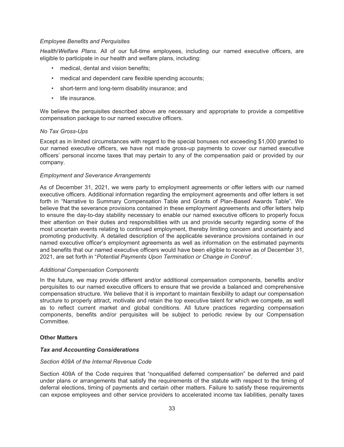#### *Employee Benefits and Perquisites*

*Health/Welfare Plans.* All of our full-time employees, including our named executive officers, are eligible to participate in our health and welfare plans, including:

- medical, dental and vision benefits;
- medical and dependent care flexible spending accounts;
- short-term and long-term disability insurance; and
- life insurance.

We believe the perquisites described above are necessary and appropriate to provide a competitive compensation package to our named executive officers.

#### *No Tax Gross-Ups*

Except as in limited circumstances with regard to the special bonuses not exceeding \$1,000 granted to our named executive officers, we have not made gross-up payments to cover our named executive officers' personal income taxes that may pertain to any of the compensation paid or provided by our company.

#### *Employment and Severance Arrangements*

As of December 31, 2021, we were party to employment agreements or offer letters with our named executive officers. Additional information regarding the employment agreements and offer letters is set forth in "Narrative to Summary Compensation Table and Grants of Plan-Based Awards Table". We believe that the severance provisions contained in these employment agreements and offer letters help to ensure the day-to-day stability necessary to enable our named executive officers to properly focus their attention on their duties and responsibilities with us and provide security regarding some of the most uncertain events relating to continued employment, thereby limiting concern and uncertainty and promoting productivity. A detailed description of the applicable severance provisions contained in our named executive officer's employment agreements as well as information on the estimated payments and benefits that our named executive officers would have been eligible to receive as of December 31, 2021, are set forth in "*Potential Payments Upon Termination or Change in Control*".

#### *Additional Compensation Components*

In the future, we may provide different and/or additional compensation components, benefits and/or perquisites to our named executive officers to ensure that we provide a balanced and comprehensive compensation structure. We believe that it is important to maintain flexibility to adapt our compensation structure to properly attract, motivate and retain the top executive talent for which we compete, as well as to reflect current market and global conditions. All future practices regarding compensation components, benefits and/or perquisites will be subject to periodic review by our Compensation Committee.

#### **Other Matters**

#### *Tax and Accounting Considerations*

#### *Section 409A of the Internal Revenue Code*

Section 409A of the Code requires that "nonqualified deferred compensation" be deferred and paid under plans or arrangements that satisfy the requirements of the statute with respect to the timing of deferral elections, timing of payments and certain other matters. Failure to satisfy these requirements can expose employees and other service providers to accelerated income tax liabilities, penalty taxes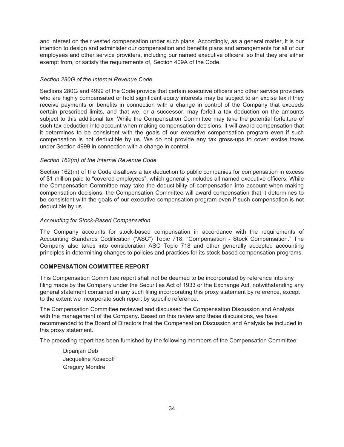and interest on their vested compensation under such plans. Accordingly, as a general matter, it is our intention to design and administer our compensation and benefits plans and arrangements for all of our employees and other service providers, including our named executive officers, so that they are either exempt from, or satisfy the requirements of, Section 409A of the Code.

#### *Section 280G of the Internal Revenue Code*

Sections 280G and 4999 of the Code provide that certain executive officers and other service providers who are highly compensated or hold significant equity interests may be subject to an excise tax if they receive payments or benefits in connection with a change in control of the Company that exceeds certain prescribed limits, and that we, or a successor, may forfeit a tax deduction on the amounts subject to this additional tax. While the Compensation Committee may take the potential forfeiture of such tax deduction into account when making compensation decisions, it will award compensation that it determines to be consistent with the goals of our executive compensation program even if such compensation is not deductible by us. We do not provide any tax gross-ups to cover excise taxes under Section 4999 in connection with a change in control.

#### *Section 162(m) of the Internal Revenue Code*

Section 162(m) of the Code disallows a tax deduction to public companies for compensation in excess of \$1 million paid to "covered employees", which generally includes all named executive officers. While the Compensation Committee may take the deductibility of compensation into account when making compensation decisions, the Compensation Committee will award compensation that it determines to be consistent with the goals of our executive compensation program even if such compensation is not deductible by us.

#### *Accounting for Stock-Based Compensation*

The Company accounts for stock-based compensation in accordance with the requirements of Accounting Standards Codification ("ASC") Topic 718, "Compensation - Stock Compensation." The Company also takes into consideration ASC Topic 718 and other generally accepted accounting principles in determining changes to policies and practices for its stock-based compensation programs.

#### <span id="page-41-0"></span>**COMPENSATION COMMITTEE REPORT**

This Compensation Committee report shall not be deemed to be incorporated by reference into any filing made by the Company under the Securities Act of 1933 or the Exchange Act, notwithstanding any general statement contained in any such filing incorporating this proxy statement by reference, except to the extent we incorporate such report by specific reference.

The Compensation Committee reviewed and discussed the Compensation Discussion and Analysis with the management of the Company. Based on this review and these discussions, we have recommended to the Board of Directors that the Compensation Discussion and Analysis be included in this proxy statement.

The preceding report has been furnished by the following members of the Compensation Committee:

Dipanjan Deb Jacqueline Kosecoff Gregory Mondre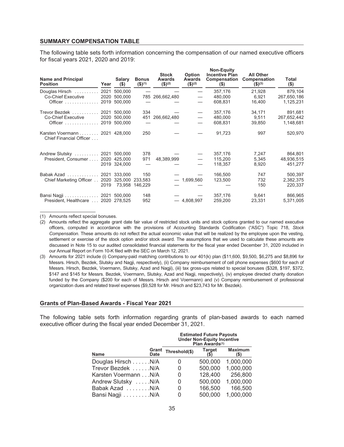#### <span id="page-42-0"></span>**SUMMARY COMPENSATION TABLE**

The following table sets forth information concerning the compensation of our named executive officers for fiscal years 2021, 2020 and 2019:

| <b>Name and Principal</b><br><b>Position</b>             | Year | Salary<br>$($ \$) | <b>Bonus</b><br>$($ \$) $(1)$ | <b>Stock</b><br>Awards<br>$($ \$) <sup>(2)</sup> | <b>Option</b><br>Awards<br>$($ \$) <sup>(2)</sup> | <b>Non-Equity</b><br><b>Incentive Plan</b><br>Compensation<br>$($ \$) | <b>All Other</b><br>Compensation<br>$($ \$) <sup>(3)</sup> | Total<br>$($ \$) |
|----------------------------------------------------------|------|-------------------|-------------------------------|--------------------------------------------------|---------------------------------------------------|-----------------------------------------------------------------------|------------------------------------------------------------|------------------|
| Douglas Hirsch                                           | 2021 | 500,000           |                               |                                                  |                                                   | 357,176                                                               | 21,928                                                     | 879,104          |
| <b>Co-Chief Executive</b>                                | 2020 | 500,000           |                               | 785 266,662,480                                  |                                                   | 480.000                                                               | 6.921                                                      | 267,650,186      |
| Officer  2019 500,000                                    |      |                   |                               |                                                  |                                                   | 608.831                                                               | 16,400                                                     | 1,125,231        |
| Trevor Bezdek  2021 500,000                              |      |                   | 334                           |                                                  | $\hspace{0.1mm}-\hspace{0.1mm}$                   | 357,176                                                               | 34,171                                                     | 891,681          |
| Co-Chief Executive                                       |      | 2020 500,000      |                               | 451 266,662,480                                  | $\overbrace{\phantom{12322111}}$                  | 480,000                                                               | 9,511                                                      | 267,652,442      |
| Officer  2019 500,000                                    |      |                   |                               |                                                  |                                                   | 608,831                                                               | 39,850                                                     | 1,148,681        |
| Karsten Voermann 2021 428,000<br>Chief Financial Officer |      |                   | 250                           |                                                  |                                                   | 91,723                                                                | 997                                                        | 520,970          |
| Andrew Slutsky  2021 500,000                             |      |                   | 378                           |                                                  | $\overbrace{\phantom{12322111}}$                  | 357,176                                                               | 7,247                                                      | 864,801          |
| President, Consumer 2020 425,000                         |      |                   | 971                           | 48,389,999                                       | $\overline{\phantom{0}}$                          | 115,200                                                               | 5,345                                                      | 48,936,515       |
|                                                          |      | 2019 324,000      |                               |                                                  | $\overbrace{\phantom{12322111}}$                  | 118,357                                                               | 8,920                                                      | 451,277          |
| Babak Azad 2021 333.000                                  |      |                   | 150                           |                                                  |                                                   | 166,500                                                               | 747                                                        | 500.397          |
| Chief Marketing Officer 2020 325,000 233,583             |      |                   |                               |                                                  | $-1,699,560$                                      | 123,500                                                               | 732                                                        | 2,382,375        |
|                                                          | 2019 |                   | 73.958 146.229                |                                                  |                                                   |                                                                       | 150                                                        | 220,337          |
| Bansi Nagji 2021 500,000                                 |      |                   | 148                           |                                                  |                                                   | 357,176                                                               | 9,641                                                      | 866,965          |
| President, Healthcare  2020 278,525                      |      |                   | 952                           |                                                  | $-4,808,997$                                      | 259,200                                                               | 23,331                                                     | 5,371,005        |

(1) Amounts reflect special bonuses.

(2) Amounts reflect the aggregate grant date fair value of restricted stock units and stock options granted to our named executive officers, computed in accordance with the provisions of Accounting Standards Codification ("ASC") Topic 718, *Stock Compensation*. These amounts do not reflect the actual economic value that will be realized by the employee upon the vesting, settlement or exercise of the stock option and/or stock award. The assumptions that we used to calculate these amounts are discussed in Note 15 to our audited consolidated financial statements for the fiscal year ended December 31, 2020 included in our Annual Report on Form 10-K filed with the SEC on March 12, 2021.

(3) Amounts for 2021 include (i) Company-paid matching contributions to our 401(k) plan (\$11,600, \$9,500, \$6,275 and \$8,896 for Messrs. Hirsch, Bezdek, Slutsky and Nagji, respectively), (ii) Company reimbursement of cell phone expenses (\$600 for each of Messrs. Hirsch, Bezdek, Voermann, Slutsky, Azad and Nagji), (iii) tax gross-ups related to special bonuses (\$328, \$197, \$372, \$147 and \$145 for Messrs. Bezdek, Voermann, Slutsky, Azad and Nagji, respectively), (iv) employee directed charity donation funded by the Company (\$200 for each of Messrs. Hirsch and Voermann) and (v) Company reimbursement of professional organization dues and related travel expenses (\$9,528 for Mr. Hirsch and \$23,743 for Mr. Bezdek).

#### <span id="page-42-1"></span>**Grants of Plan-Based Awards - Fiscal Year 2021**

The following table sets forth information regarding grants of plan-based awards to each named executive officer during the fiscal year ended December 31, 2021.

|                      |               | <b>Estimated Future Payouts</b><br><b>Under Non-Equity Incentive</b><br>Plan Awards <sup>(1)</sup> |               |                        |  |  |
|----------------------|---------------|----------------------------------------------------------------------------------------------------|---------------|------------------------|--|--|
| Name                 | Grant<br>Date | Threshold(\$)                                                                                      | <b>Target</b> | <b>Maximum</b><br>(\$) |  |  |
| Douglas Hirsch N/A   |               | 0                                                                                                  | 500,000       | 1,000,000              |  |  |
| Trevor Bezdek N/A    |               | 0                                                                                                  | 500,000       | 1,000,000              |  |  |
| Karsten Voermann N/A |               | 0                                                                                                  | 128,400       | 256,800                |  |  |
| Andrew Slutsky N/A   |               | 0                                                                                                  | 500,000       | 1,000,000              |  |  |
| Babak Azad N/A       |               | 0                                                                                                  | 166,500       | 166,500                |  |  |
| Bansi Nagji N/A      |               |                                                                                                    | 500,000       | 1,000,000              |  |  |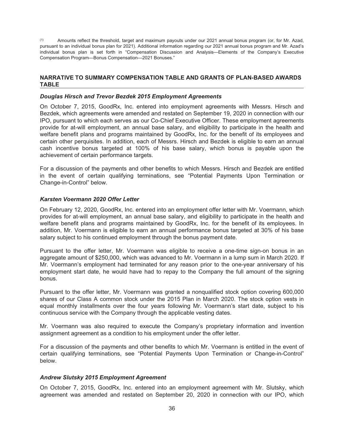(1) Amounts reflect the threshold, target and maximum payouts under our 2021 annual bonus program (or, for Mr. Azad, pursuant to an individual bonus plan for 2021). Additional information regarding our 2021 annual bonus program and Mr. Azad's individual bonus plan is set forth in "Compensation Discussion and Analysis—Elements of the Company's Executive Compensation Program—Bonus Compensation—2021 Bonuses."

#### <span id="page-43-0"></span>**NARRATIVE TO SUMMARY COMPENSATION TABLE AND GRANTS OF PLAN-BASED AWARDS TABLE**

#### *Douglas Hirsch and Trevor Bezdek 2015 Employment Agreements*

On October 7, 2015, GoodRx, Inc. entered into employment agreements with Messrs. Hirsch and Bezdek, which agreements were amended and restated on September 19, 2020 in connection with our IPO, pursuant to which each serves as our Co-Chief Executive Officer. These employment agreements provide for at-will employment, an annual base salary, and eligibility to participate in the health and welfare benefit plans and programs maintained by GoodRx, Inc. for the benefit of its employees and certain other perquisites. In addition, each of Messrs. Hirsch and Bezdek is eligible to earn an annual cash incentive bonus targeted at 100% of his base salary, which bonus is payable upon the achievement of certain performance targets.

For a discussion of the payments and other benefits to which Messrs. Hirsch and Bezdek are entitled in the event of certain qualifying terminations, see "Potential Payments Upon Termination or Change-in-Control" below.

#### *Karsten Voermann 2020 Offer Letter*

On February 12, 2020, GoodRx, Inc. entered into an employment offer letter with Mr. Voermann, which provides for at-will employment, an annual base salary, and eligibility to participate in the health and welfare benefit plans and programs maintained by GoodRx, Inc. for the benefit of its employees. In addition, Mr. Voermann is eligible to earn an annual performance bonus targeted at 30% of his base salary subject to his continued employment through the bonus payment date.

Pursuant to the offer letter, Mr. Voermann was eligible to receive a one-time sign-on bonus in an aggregate amount of \$250,000, which was advanced to Mr. Voermann in a lump sum in March 2020. If Mr. Voermann's employment had terminated for any reason prior to the one-year anniversary of his employment start date, he would have had to repay to the Company the full amount of the signing bonus.

Pursuant to the offer letter, Mr. Voermann was granted a nonqualified stock option covering 600,000 shares of our Class A common stock under the 2015 Plan in March 2020. The stock option vests in equal monthly installments over the four years following Mr. Voermann's start date, subject to his continuous service with the Company through the applicable vesting dates.

Mr. Voermann was also required to execute the Company's proprietary information and invention assignment agreement as a condition to his employment under the offer letter.

For a discussion of the payments and other benefits to which Mr. Voermann is entitled in the event of certain qualifying terminations, see "Potential Payments Upon Termination or Change-in-Control" below.

#### *Andrew Slutsky 2015 Employment Agreement*

On October 7, 2015, GoodRx, Inc. entered into an employment agreement with Mr. Slutsky, which agreement was amended and restated on September 20, 2020 in connection with our IPO, which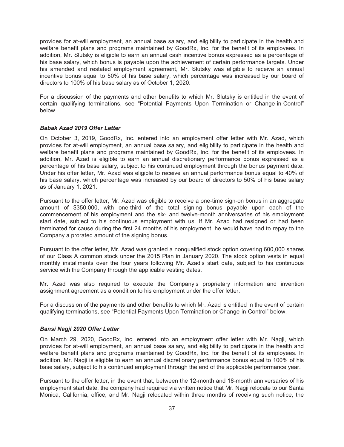provides for at-will employment, an annual base salary, and eligibility to participate in the health and welfare benefit plans and programs maintained by GoodRx, Inc. for the benefit of its employees. In addition, Mr. Slutsky is eligible to earn an annual cash incentive bonus expressed as a percentage of his base salary, which bonus is payable upon the achievement of certain performance targets. Under his amended and restated employment agreement, Mr. Slutsky was eligible to receive an annual incentive bonus equal to 50% of his base salary, which percentage was increased by our board of directors to 100% of his base salary as of October 1, 2020.

For a discussion of the payments and other benefits to which Mr. Slutsky is entitled in the event of certain qualifying terminations, see "Potential Payments Upon Termination or Change-in-Control" below.

#### *Babak Azad 2019 Offer Letter*

On October 3, 2019, GoodRx, Inc. entered into an employment offer letter with Mr. Azad, which provides for at-will employment, an annual base salary, and eligibility to participate in the health and welfare benefit plans and programs maintained by GoodRx, Inc. for the benefit of its employees. In addition, Mr. Azad is eligible to earn an annual discretionary performance bonus expressed as a percentage of his base salary, subject to his continued employment through the bonus payment date. Under his offer letter, Mr. Azad was eligible to receive an annual performance bonus equal to 40% of his base salary, which percentage was increased by our board of directors to 50% of his base salary as of January 1, 2021.

Pursuant to the offer letter, Mr. Azad was eligible to receive a one-time sign-on bonus in an aggregate amount of \$350,000, with one-third of the total signing bonus payable upon each of the commencement of his employment and the six- and twelve-month anniversaries of his employment start date, subject to his continuous employment with us. If Mr. Azad had resigned or had been terminated for cause during the first 24 months of his employment, he would have had to repay to the Company a prorated amount of the signing bonus.

Pursuant to the offer letter, Mr. Azad was granted a nonqualified stock option covering 600,000 shares of our Class A common stock under the 2015 Plan in January 2020. The stock option vests in equal monthly installments over the four years following Mr. Azad's start date, subject to his continuous service with the Company through the applicable vesting dates.

Mr. Azad was also required to execute the Company's proprietary information and invention assignment agreement as a condition to his employment under the offer letter.

For a discussion of the payments and other benefits to which Mr. Azad is entitled in the event of certain qualifying terminations, see "Potential Payments Upon Termination or Change-in-Control" below.

#### *Bansi Nagji 2020 Offer Letter*

On March 29, 2020, GoodRx, Inc. entered into an employment offer letter with Mr. Nagji, which provides for at-will employment, an annual base salary, and eligibility to participate in the health and welfare benefit plans and programs maintained by GoodRx, Inc. for the benefit of its employees. In addition, Mr. Nagji is eligible to earn an annual discretionary performance bonus equal to 100% of his base salary, subject to his continued employment through the end of the applicable performance year.

Pursuant to the offer letter, in the event that, between the 12-month and 18-month anniversaries of his employment start date, the company had required via written notice that Mr. Nagji relocate to our Santa Monica, California, office, and Mr. Nagji relocated within three months of receiving such notice, the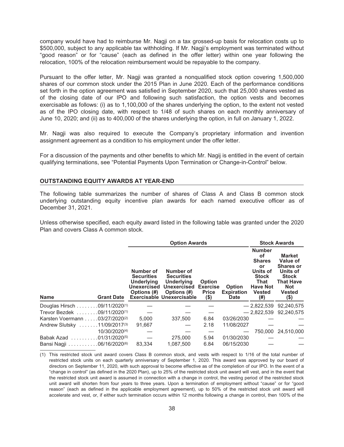company would have had to reimburse Mr. Nagji on a tax grossed-up basis for relocation costs up to \$500,000, subject to any applicable tax withholding. If Mr. Nagji's employment was terminated without "good reason" or for "cause" (each as defined in the offer letter) within one year following the relocation, 100% of the relocation reimbursement would be repayable to the company.

Pursuant to the offer letter, Mr. Nagji was granted a nonqualified stock option covering 1,500,000 shares of our common stock under the 2015 Plan in June 2020. Each of the performance conditions set forth in the option agreement was satisfied in September 2020, such that 25,000 shares vested as of the closing date of our IPO and following such satisfaction, the option vests and becomes exercisable as follows: (i) as to 1,100,000 of the shares underlying the option, to the extent not vested as of the IPO closing date, with respect to 1/48 of such shares on each monthly anniversary of June 10, 2020; and (ii) as to 400,000 of the shares underlying the option, in full on January 1, 2022.

Mr. Nagji was also required to execute the Company's proprietary information and invention assignment agreement as a condition to his employment under the offer letter.

For a discussion of the payments and other benefits to which Mr. Nagij is entitled in the event of certain qualifying terminations, see "Potential Payments Upon Termination or Change-in-Control" below.

#### <span id="page-45-0"></span>**OUTSTANDING EQUITY AWARDS AT YEAR-END**

The following table summarizes the number of shares of Class A and Class B common stock underlying outstanding equity incentive plan awards for each named executive officer as of December 31, 2021.

Unless otherwise specified, each equity award listed in the following table was granted under the 2020 Plan and covers Class A common stock.

|                                          |                                         |                                                                                   | <b>Option Awards</b>                                                                                                  |                                                             |                                                   |                                                                                                                                   | <b>Stock Awards</b>                                                                                                                  |  |  |
|------------------------------------------|-----------------------------------------|-----------------------------------------------------------------------------------|-----------------------------------------------------------------------------------------------------------------------|-------------------------------------------------------------|---------------------------------------------------|-----------------------------------------------------------------------------------------------------------------------------------|--------------------------------------------------------------------------------------------------------------------------------------|--|--|
| <b>Name</b>                              | <b>Grant Date</b>                       | Number of<br><b>Securities</b><br><b>Underlying</b><br>Unexercised<br>Options (#) | Number of<br><b>Securities</b><br><b>Underlying</b><br>Unexercised<br>Options (#)<br><b>Exercisable Unexercisable</b> | <b>Option</b><br><b>Exercise</b><br><b>Price</b><br>$($ \$) | <b>Option</b><br><b>Expiration</b><br><b>Date</b> | <b>Number</b><br><b>of</b><br><b>Shares</b><br>or<br>Units of<br><b>Stock</b><br>That<br><b>Have Not</b><br><b>Vested</b><br>(# ) | <b>Market</b><br>Value of<br><b>Shares or</b><br>Units of<br><b>Stock</b><br><b>That Have</b><br><b>Not</b><br><b>Vested</b><br>(\$) |  |  |
| Douglas Hirsch 09/11/2020 <sup>(1)</sup> |                                         |                                                                                   |                                                                                                                       |                                                             |                                                   | $-2.822.539$                                                                                                                      | 92.240.575                                                                                                                           |  |  |
| Trevor Bezdek 09/11/2020 <sup>(1)</sup>  |                                         |                                                                                   |                                                                                                                       |                                                             |                                                   | $-2.822.539$                                                                                                                      | 92.240.575                                                                                                                           |  |  |
| Karsten Voermann 03/27/2020(2)           |                                         | 5.000                                                                             | 337.500                                                                                                               | 6.84                                                        | 03/26/2030                                        |                                                                                                                                   |                                                                                                                                      |  |  |
| Andrew Slutsky 11/09/2017(3)             |                                         | 91,667                                                                            |                                                                                                                       | 2.18                                                        | 11/08/2027                                        |                                                                                                                                   |                                                                                                                                      |  |  |
|                                          | 10/30/2020(4)                           |                                                                                   |                                                                                                                       |                                                             |                                                   |                                                                                                                                   | 750,000 24,510,000                                                                                                                   |  |  |
| Babak Azad                               | $\ldots \ldots \ldots 01/31/2020^{(5)}$ |                                                                                   | 275,000                                                                                                               | 5.94                                                        | 01/30/2030                                        |                                                                                                                                   |                                                                                                                                      |  |  |
| Bansi Nagji 06/16/2020(6)                |                                         | 83.334                                                                            | 1.087.500                                                                                                             | 6.84                                                        | 06/15/2030                                        |                                                                                                                                   |                                                                                                                                      |  |  |

(1) This restricted stock unit award covers Class B common stock, and vests with respect to 1/16 of the total number of restricted stock units on each quarterly anniversary of September 1, 2020. This award was approved by our board of directors on September 11, 2020, with such approval to become effective as of the completion of our IPO. In the event of a "change in control" (as defined in the 2020 Plan), up to 25% of the restricted stock unit award will vest, and in the event that the restricted stock unit award is assumed in connection with a change in control, the vesting period of the restricted stock unit award will shorten from four years to three years. Upon a termination of employment without "cause" or for "good reason" (each as defined in the applicable employment agreement), up to 50% of the restricted stock unit award will accelerate and vest, or, if either such termination occurs within 12 months following a change in control, then 100% of the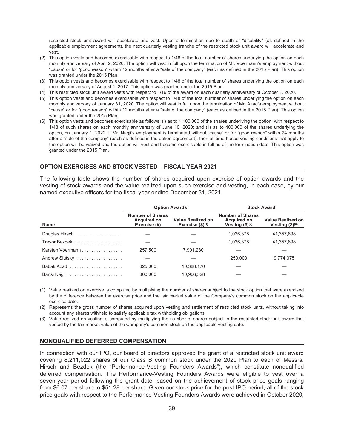restricted stock unit award will accelerate and vest. Upon a termination due to death or "disability" (as defined in the applicable employment agreement), the next quarterly vesting tranche of the restricted stock unit award will accelerate and vest.

- (2) This option vests and becomes exercisable with respect to 1/48 of the total number of shares underlying the option on each monthly anniversary of April 2, 2020. The option will vest in full upon the termination of Mr. Voermann's employment without "cause" or for "good reason" within 12 months after a "sale of the company" (each as defined in the 2015 Plan). This option was granted under the 2015 Plan.
- (3) This option vests and becomes exercisable with respect to 1/48 of the total number of shares underlying the option on each monthly anniversary of August 1, 2017. This option was granted under the 2015 Plan.
- (4) This restricted stock unit award vests with respect to 1/16 of the award on each quarterly anniversary of October 1, 2020.
- (5) This option vests and becomes exercisable with respect to 1/48 of the total number of shares underlying the option on each monthly anniversary of January 31, 2020. The option will vest in full upon the termination of Mr. Azad's employment without "cause" or for "good reason" within 12 months after a "sale of the company" (each as defined in the 2015 Plan). This option was granted under the 2015 Plan.
- (6) This option vests and becomes exercisable as follows: (i) as to 1,100,000 of the shares underlying the option, with respect to 1/48 of such shares on each monthly anniversary of June 10, 2020; and (ii) as to 400,000 of the shares underlying the option, on January 1, 2022. If Mr. Nagji's employment is terminated without "cause" or for "good reason" within 24 months after a "sale of the company" (each as defined in the option agreement), then all time-based vesting conditions that apply to the option will be waived and the option will vest and become exercisable in full as of the termination date. This option was granted under the 2015 Plan.

#### <span id="page-46-0"></span>**OPTION EXERCISES AND STOCK VESTED – FISCAL YEAR 2021**

The following table shows the number of shares acquired upon exercise of option awards and the vesting of stock awards and the value realized upon such exercise and vesting, in each case, by our named executive officers for the fiscal year ending December 31, 2021.

|                  |                                                               | <b>Option Awards</b>                             | <b>Stock Award</b>                                                |                                          |  |  |
|------------------|---------------------------------------------------------------|--------------------------------------------------|-------------------------------------------------------------------|------------------------------------------|--|--|
| <b>Name</b>      | <b>Number of Shares</b><br><b>Acquired on</b><br>Exercise (#) | <b>Value Realized on</b><br>Exercise $($)^{(1)}$ | <b>Number of Shares</b><br><b>Acquired on</b><br>Vesting $(H)(2)$ | Value Realized on<br>Vesting $($)^{(3)}$ |  |  |
| Douglas Hirsch   |                                                               |                                                  | 1,026,378                                                         | 41,357,898                               |  |  |
|                  |                                                               |                                                  | 1,026,378                                                         | 41,357,898                               |  |  |
| Karsten Voermann | 257.500                                                       | 7.901.230                                        |                                                                   |                                          |  |  |
| Andrew Slutsky   |                                                               |                                                  | 250.000                                                           | 9,774,375                                |  |  |
| Babak Azad       | 325,000                                                       | 10,388,170                                       |                                                                   |                                          |  |  |
|                  | 300.000                                                       | 10.966.528                                       |                                                                   |                                          |  |  |

(1) Value realized on exercise is computed by multiplying the number of shares subject to the stock option that were exercised by the difference between the exercise price and the fair market value of the Company's common stock on the applicable exercise date.

(2) Represents the gross number of shares acquired upon vesting and settlement of restricted stock units, without taking into account any shares withheld to satisfy applicable tax withholding obligations.

(3) Value realized on vesting is computed by multiplying the number of shares subject to the restricted stock unit award that vested by the fair market value of the Company's common stock on the applicable vesting date.

#### <span id="page-46-1"></span>**NONQUALIFIED DEFERRED COMPENSATION**

In connection with our IPO, our board of directors approved the grant of a restricted stock unit award covering 8,211,022 shares of our Class B common stock under the 2020 Plan to each of Messrs. Hirsch and Bezdek (the "Performance-Vesting Founders Awards"), which constitute nonqualified deferred compensation. The Performance-Vesting Founders Awards were eligible to vest over a seven-year period following the grant date, based on the achievement of stock price goals ranging from \$6.07 per share to \$51.28 per share. Given our stock price for the post-IPO period, all of the stock price goals with respect to the Performance-Vesting Founders Awards were achieved in October 2020;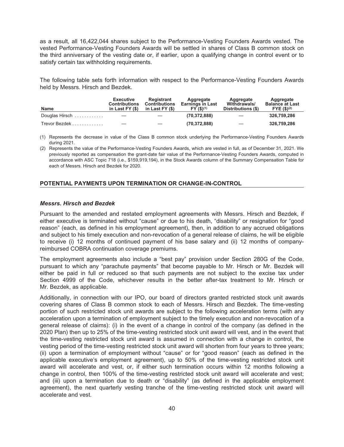as a result, all 16,422,044 shares subject to the Performance-Vesting Founders Awards vested. The vested Performance-Vesting Founders Awards will be settled in shares of Class B common stock on the third anniversary of the vesting date or, if earlier, upon a qualifying change in control event or to satisfy certain tax withholding requirements.

The following table sets forth information with respect to the Performance-Vesting Founders Awards held by Messrs. Hirsch and Bezdek.

| <b>Name</b>    | <b>Executive</b><br><b>Contributions</b><br>in Last $FY($ \$) | Registrant<br><b>Contributions</b><br>in Last FY (\$) | Aggregate<br><b>Earnings in Last</b><br>FY(\$)(1) | Aggregate<br>Withdrawals/<br>Distributions (\$) | Aggregate<br><b>Balance at Last</b><br>FYE ( \$)(2) |
|----------------|---------------------------------------------------------------|-------------------------------------------------------|---------------------------------------------------|-------------------------------------------------|-----------------------------------------------------|
| Douglas Hirsch |                                                               |                                                       | (70, 372, 888)                                    |                                                 | 326.759.286                                         |
| Trevor Bezdek  |                                                               |                                                       | (70, 372, 888)                                    |                                                 | 326.759.286                                         |

(1) Represents the decrease in value of the Class B common stock underlying the Performance-Vesting Founders Awards during 2021.

(2) Represents the value of the Performance-Vesting Founders Awards, which are vested in full, as of December 31, 2021. We previously reported as compensation the grant-date fair value of the Performance-Vesting Founders Awards, computed in accordance with ASC Topic 718 (i.e., \$159,919,194), in the Stock Awards column of the Summary Compensation Table for each of Messrs. Hirsch and Bezdek for 2020.

#### <span id="page-47-0"></span>**POTENTIAL PAYMENTS UPON TERMINATION OR CHANGE-IN-CONTROL**

#### *Messrs. Hirsch and Bezdek*

Pursuant to the amended and restated employment agreements with Messrs. Hirsch and Bezdek, if either executive is terminated without "cause" or due to his death, "disability" or resignation for "good reason" (each, as defined in his employment agreement), then, in addition to any accrued obligations and subject to his timely execution and non-revocation of a general release of claims, he will be eligible to receive (i) 12 months of continued payment of his base salary and (ii) 12 months of companyreimbursed COBRA continuation coverage premiums.

The employment agreements also include a "best pay" provision under Section 280G of the Code, pursuant to which any "parachute payments" that become payable to Mr. Hirsch or Mr. Bezdek will either be paid in full or reduced so that such payments are not subject to the excise tax under Section 4999 of the Code, whichever results in the better after-tax treatment to Mr. Hirsch or Mr. Bezdek, as applicable.

Additionally, in connection with our IPO, our board of directors granted restricted stock unit awards covering shares of Class B common stock to each of Messrs. Hirsch and Bezdek. The time-vesting portion of such restricted stock unit awards are subject to the following acceleration terms (with any acceleration upon a termination of employment subject to the timely execution and non-revocation of a general release of claims): (i) in the event of a change in control of the company (as defined in the 2020 Plan) then up to 25% of the time-vesting restricted stock unit award will vest, and in the event that the time-vesting restricted stock unit award is assumed in connection with a change in control, the vesting period of the time-vesting restricted stock unit award will shorten from four years to three years; (ii) upon a termination of employment without "cause" or for "good reason" (each as defined in the applicable executive's employment agreement), up to 50% of the time-vesting restricted stock unit award will accelerate and vest, or, if either such termination occurs within 12 months following a change in control, then 100% of the time-vesting restricted stock unit award will accelerate and vest; and (iii) upon a termination due to death or "disability" (as defined in the applicable employment agreement), the next quarterly vesting tranche of the time-vesting restricted stock unit award will accelerate and vest.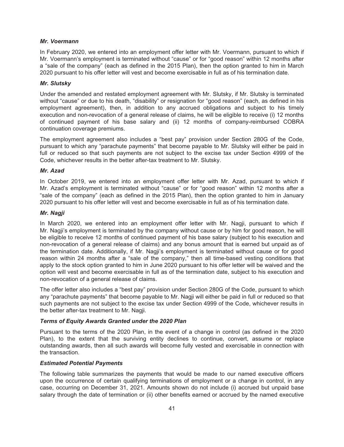#### *Mr. Voermann*

In February 2020, we entered into an employment offer letter with Mr. Voermann, pursuant to which if Mr. Voermann's employment is terminated without "cause" or for "good reason" within 12 months after a "sale of the company" (each as defined in the 2015 Plan), then the option granted to him in March 2020 pursuant to his offer letter will vest and become exercisable in full as of his termination date.

#### *Mr. Slutsky*

Under the amended and restated employment agreement with Mr. Slutsky, if Mr. Slutsky is terminated without "cause" or due to his death, "disability" or resignation for "good reason" (each, as defined in his employment agreement), then, in addition to any accrued obligations and subject to his timely execution and non-revocation of a general release of claims, he will be eligible to receive (i) 12 months of continued payment of his base salary and (ii) 12 months of company-reimbursed COBRA continuation coverage premiums.

The employment agreement also includes a "best pay" provision under Section 280G of the Code, pursuant to which any "parachute payments" that become payable to Mr. Slutsky will either be paid in full or reduced so that such payments are not subject to the excise tax under Section 4999 of the Code, whichever results in the better after-tax treatment to Mr. Slutsky.

#### *Mr. Azad*

In October 2019, we entered into an employment offer letter with Mr. Azad, pursuant to which if Mr. Azad's employment is terminated without "cause" or for "good reason" within 12 months after a "sale of the company" (each as defined in the 2015 Plan), then the option granted to him in January 2020 pursuant to his offer letter will vest and become exercisable in full as of his termination date.

#### *Mr. Nagji*

In March 2020, we entered into an employment offer letter with Mr. Nagji, pursuant to which if Mr. Nagji's employment is terminated by the company without cause or by him for good reason, he will be eligible to receive 12 months of continued payment of his base salary (subject to his execution and non-revocation of a general release of claims) and any bonus amount that is earned but unpaid as of the termination date. Additionally, if Mr. Nagji's employment is terminated without cause or for good reason within 24 months after a "sale of the company," then all time-based vesting conditions that apply to the stock option granted to him in June 2020 pursuant to his offer letter will be waived and the option will vest and become exercisable in full as of the termination date, subject to his execution and non-revocation of a general release of claims.

The offer letter also includes a "best pay" provision under Section 280G of the Code, pursuant to which any "parachute payments" that become payable to Mr. Nagji will either be paid in full or reduced so that such payments are not subject to the excise tax under Section 4999 of the Code, whichever results in the better after-tax treatment to Mr. Nagji.

#### *Terms of Equity Awards Granted under the 2020 Plan*

Pursuant to the terms of the 2020 Plan, in the event of a change in control (as defined in the 2020 Plan), to the extent that the surviving entity declines to continue, convert, assume or replace outstanding awards, then all such awards will become fully vested and exercisable in connection with the transaction.

#### *Estimated Potential Payments*

The following table summarizes the payments that would be made to our named executive officers upon the occurrence of certain qualifying terminations of employment or a change in control, in any case, occurring on December 31, 2021. Amounts shown do not include (i) accrued but unpaid base salary through the date of termination or (ii) other benefits earned or accrued by the named executive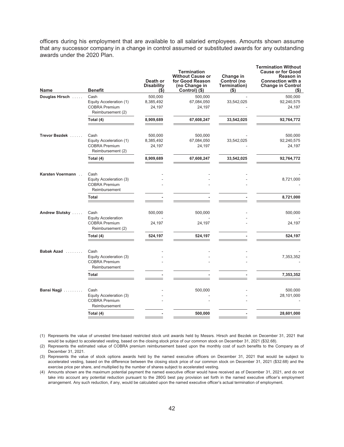officers during his employment that are available to all salaried employees. Amounts shown assume that any successor company in a change in control assumed or substituted awards for any outstanding awards under the 2020 Plan.

| Name             | <b>Benefit</b>                            | Death or<br><b>Disability</b><br>$($ \$ | <b>Termination</b><br><b>Without Cause or</b><br>for Good Reason<br>(no Change in<br>Control) (\$) | Change in<br>Control (no<br>Termination)<br>$($ \$ | <b>Termination Without</b><br><b>Cause or for Good</b><br><b>Reason in</b><br><b>Connection with a</b><br><b>Change in Control</b><br>$($ \$ |
|------------------|-------------------------------------------|-----------------------------------------|----------------------------------------------------------------------------------------------------|----------------------------------------------------|----------------------------------------------------------------------------------------------------------------------------------------------|
| Douglas Hirsch   | Cash                                      | 500,000                                 | 500,000                                                                                            |                                                    | 500,000                                                                                                                                      |
|                  | Equity Acceleration (1)                   | 8,385,492                               | 67,084,050                                                                                         | 33,542,025                                         | 92,240,575                                                                                                                                   |
|                  | <b>COBRA Premium</b><br>Reimbursement (2) | 24,197                                  | 24,197                                                                                             |                                                    | 24,197                                                                                                                                       |
|                  | Total (4)                                 | 8,909,689                               | 67,608,247                                                                                         | 33,542,025                                         | 92,764,772                                                                                                                                   |
| Trevor Bezdek    | Cash                                      | 500,000                                 | 500,000                                                                                            |                                                    | 500,000                                                                                                                                      |
|                  | Equity Acceleration (1)                   | 8,385,492                               | 67,084,050                                                                                         | 33,542,025                                         | 92,240,575                                                                                                                                   |
|                  | <b>COBRA Premium</b><br>Reimbursement (2) | 24,197                                  | 24,197                                                                                             |                                                    | 24,197                                                                                                                                       |
|                  | Total (4)                                 | 8,909,689                               | 67,608,247                                                                                         | 33,542,025                                         | 92,764,772                                                                                                                                   |
| Karsten Voermann | Cash                                      |                                         |                                                                                                    |                                                    |                                                                                                                                              |
|                  | Equity Acceleration (3)                   |                                         |                                                                                                    |                                                    | 8,721,000                                                                                                                                    |
|                  | <b>COBRA Premium</b><br>Reimbursement     |                                         |                                                                                                    |                                                    |                                                                                                                                              |
|                  | Total                                     |                                         |                                                                                                    |                                                    | 8,721,000                                                                                                                                    |
| Andrew Slutsky   | Cash<br><b>Equity Acceleration</b>        | 500,000                                 | 500,000                                                                                            |                                                    | 500,000                                                                                                                                      |
|                  | <b>COBRA Premium</b><br>Reimbursement (2) | 24,197                                  | 24,197                                                                                             |                                                    | 24,197                                                                                                                                       |
|                  | Total (4)                                 | 524,197                                 | 524,197                                                                                            |                                                    | 524,197                                                                                                                                      |
| Babak Azad       | Cash                                      |                                         |                                                                                                    |                                                    |                                                                                                                                              |
|                  | Equity Acceleration (3)                   |                                         |                                                                                                    |                                                    | 7,353,352                                                                                                                                    |
|                  | <b>COBRA Premium</b><br>Reimbursement     |                                         |                                                                                                    |                                                    |                                                                                                                                              |
|                  | Total                                     |                                         |                                                                                                    |                                                    | 7,353,352                                                                                                                                    |
| Bansi Nagji      | Cash                                      |                                         | 500,000                                                                                            |                                                    | 500,000                                                                                                                                      |
|                  | Equity Acceleration (3)                   |                                         |                                                                                                    |                                                    | 28,101,000                                                                                                                                   |
|                  | <b>COBRA Premium</b><br>Reimbursement     |                                         |                                                                                                    |                                                    |                                                                                                                                              |
|                  | Total (4)                                 |                                         | 500,000                                                                                            |                                                    | 28,601,000                                                                                                                                   |
|                  |                                           |                                         |                                                                                                    |                                                    |                                                                                                                                              |

(1) Represents the value of unvested time-based restricted stock unit awards held by Messrs. Hirsch and Bezdek on December 31, 2021 that would be subject to accelerated vesting, based on the closing stock price of our common stock on December 31, 2021 (\$32.68).

(2) Represents the estimated value of COBRA premium reimbursement based upon the monthly cost of such benefits to the Company as of December 31, 2021.

(3) Represents the value of stock options awards held by the named executive officers on December 31, 2021 that would be subject to accelerated vesting, based on the difference between the closing stock price of our common stock on December 31, 2021 (\$32.68) and the exercise price per share, and multiplied by the number of shares subject to accelerated vesting.

(4) Amounts shown are the maximum potential payment the named executive officer would have received as of December 31, 2021, and do not take into account any potential reduction pursuant to the 280G best pay provision set forth in the named executive officer's employment arrangement. Any such reduction, if any, would be calculated upon the named executive officer's actual termination of employment.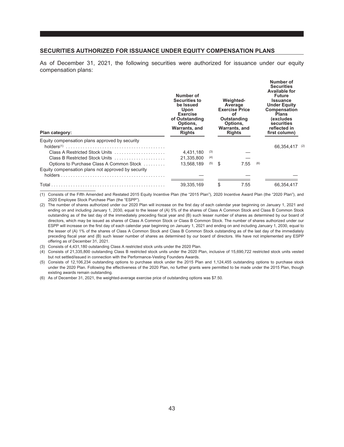#### <span id="page-50-0"></span>**SECURITIES AUTHORIZED FOR ISSUANCE UNDER EQUITY COMPENSATION PLANS**

As of December 31, 2021, the following securities were authorized for issuance under our equity compensation plans:

| Plan category:                                     | Number of<br><b>Securities to</b><br>be Issued<br><b>Upon</b><br><b>Exercise</b><br>of Outstanding<br>Options,<br>Warrants, and<br><b>Rights</b> |     |     | Weighted-<br>Average<br><b>Exercise Price</b><br>οf<br>Outstanding<br>Options,<br>Warrants, and<br><b>Rights</b> |     | Number of<br><b>Securities</b><br><b>Available for</b><br><b>Future</b><br>Issuance<br><b>Under Equity</b><br>Compensation<br><b>Plans</b><br><i>(excludes</i><br>securities<br>reflected in<br>first column) |  |
|----------------------------------------------------|--------------------------------------------------------------------------------------------------------------------------------------------------|-----|-----|------------------------------------------------------------------------------------------------------------------|-----|---------------------------------------------------------------------------------------------------------------------------------------------------------------------------------------------------------------|--|
| Equity compensation plans approved by security     |                                                                                                                                                  |     |     |                                                                                                                  |     | 66,354,417 (2)                                                                                                                                                                                                |  |
| Class A Restricted Stock Units                     | 4.431.180                                                                                                                                        | (3) |     |                                                                                                                  |     |                                                                                                                                                                                                               |  |
| Class B Restricted Stock Units                     | 21,335,800                                                                                                                                       | (4) |     |                                                                                                                  |     |                                                                                                                                                                                                               |  |
| Options to Purchase Class A Common Stock           | 13.568.189                                                                                                                                       | (5) | -\$ | 7.55                                                                                                             | (6) |                                                                                                                                                                                                               |  |
| Equity compensation plans not approved by security |                                                                                                                                                  |     |     |                                                                                                                  |     |                                                                                                                                                                                                               |  |
|                                                    | 39,335,169                                                                                                                                       |     | \$  | 7.55                                                                                                             |     | 66.354.417                                                                                                                                                                                                    |  |

(1) Consists of the Fifth Amended and Restated 2015 Equity Incentive Plan (the "2015 Plan"), 2020 Incentive Award Plan (the "2020 Plan"), and 2020 Employee Stock Purchase Plan (the "ESPP").

(2) The number of shares authorized under our 2020 Plan will increase on the first day of each calendar year beginning on January 1, 2021 and ending on and including January 1, 2030, equal to the lesser of (A) 5% of the shares of Class A Common Stock and Class B Common Stock outstanding as of the last day of the immediately preceding fiscal year and (B) such lesser number of shares as determined by our board of directors, which may be issued as shares of Class A Common Stock or Class B Common Stock. The number of shares authorized under our ESPP will increase on the first day of each calendar year beginning on January 1, 2021 and ending on and including January 1, 2030, equal to the lesser of (A) 1% of the shares of Class A Common Stock and Class B Common Stock outstanding as of the last day of the immediately preceding fiscal year and (B) such lesser number of shares as determined by our board of directors. We have not implemented any ESPP offering as of December 31, 2021.

(3) Consists of 4,431,180 outstanding Class A restricted stock units under the 2020 Plan.

(4) Consists of 21,335,800 outstanding Class B restricted stock units under the 2020 Plan, inclusive of 15,690,722 restricted stock units vested but not settled/issued in connection with the Performance-Vesting Founders Awards.

(5) Consists of 12,106,234 outstanding options to purchase stock under the 2015 Plan and 1,124,455 outstanding options to purchase stock under the 2020 Plan. Following the effectiveness of the 2020 Plan, no further grants were permitted to be made under the 2015 Plan, though existing awards remain outstanding.

<sup>(6)</sup> As of December 31, 2021, the weighted-average exercise price of outstanding options was \$7.50.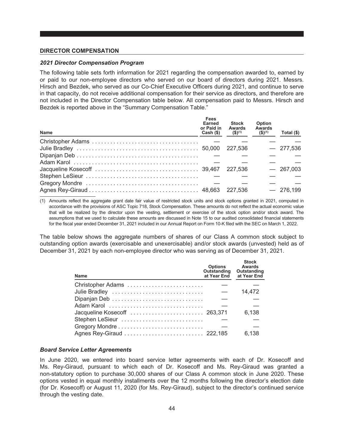#### <span id="page-51-0"></span>**DIRECTOR COMPENSATION**

#### *2021 Director Compensation Program*

The following table sets forth information for 2021 regarding the compensation awarded to, earned by or paid to our non-employee directors who served on our board of directors during 2021. Messrs. Hirsch and Bezdek, who served as our Co-Chief Executive Officers during 2021, and continue to serve in that capacity, do not receive additional compensation for their service as directors, and therefore are not included in the Director Compensation table below. All compensation paid to Messrs. Hirsch and Bezdek is reported above in the "Summary Compensation Table."

| <b>Name</b> | Fees<br>Earned<br>or Paid in<br>$Cash (\)$ | <b>Stock</b><br><b>Awards</b><br>$($ \$) <sup>(1)</sup> | Option<br>Awards<br>$($ \$) $(1)$ | Total $(\$)$ |
|-------------|--------------------------------------------|---------------------------------------------------------|-----------------------------------|--------------|
|             |                                            |                                                         |                                   |              |
|             |                                            | 227.536                                                 |                                   | $-277,536$   |
|             |                                            |                                                         |                                   |              |
|             |                                            |                                                         |                                   |              |
|             |                                            | 227.536                                                 |                                   | $-267,003$   |
|             |                                            |                                                         |                                   |              |
|             |                                            |                                                         |                                   |              |
|             |                                            | 227.536                                                 |                                   | 276,199      |

(1) Amounts reflect the aggregate grant date fair value of restricted stock units and stock options granted in 2021, computed in accordance with the provisions of ASC Topic 718, Stock Compensation. These amounts do not reflect the actual economic value that will be realized by the director upon the vesting, settlement or exercise of the stock option and/or stock award. The assumptions that we used to calculate these amounts are discussed in Note 15 to our audited consolidated financial statements for the fiscal year ended December 31, 2021 included in our Annual Report on Form 10-K filed with the SEC on March 1, 2022.

The table below shows the aggregate numbers of shares of our Class A common stock subject to outstanding option awards (exercisable and unexercisable) and/or stock awards (unvested) held as of December 31, 2021 by each non-employee director who was serving as of December 31, 2021.

| <b>Name</b>                  | <b>Options</b><br>Outstanding<br>at Year End | <b>Stock</b><br>Awards<br>Outstanding<br>at Year End |
|------------------------------|----------------------------------------------|------------------------------------------------------|
| Christopher Adams            |                                              |                                                      |
| Julie Bradley                |                                              | 14,472                                               |
|                              |                                              |                                                      |
|                              |                                              |                                                      |
| Jacqueline Kosecoff  263,371 |                                              | 6,138                                                |
| Stephen LeSieur              |                                              |                                                      |
|                              |                                              |                                                      |
|                              |                                              | 6.138                                                |

#### *Board Service Letter Agreements*

In June 2020, we entered into board service letter agreements with each of Dr. Kosecoff and Ms. Rey-Giraud, pursuant to which each of Dr. Kosecoff and Ms. Rey-Giraud was granted a non-statutory option to purchase 30,000 shares of our Class A common stock in June 2020. These options vested in equal monthly installments over the 12 months following the director's election date (for Dr. Kosecoff) or August 11, 2020 (for Ms. Rey-Giraud), subject to the director's continued service through the vesting date.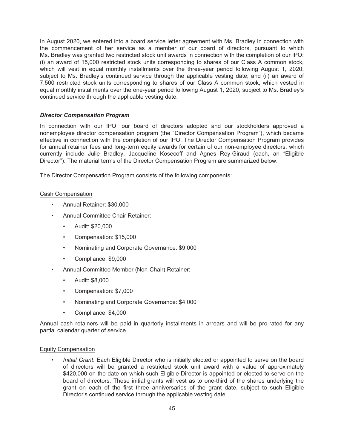In August 2020, we entered into a board service letter agreement with Ms. Bradley in connection with the commencement of her service as a member of our board of directors, pursuant to which Ms. Bradley was granted two restricted stock unit awards in connection with the completion of our IPO: (i) an award of 15,000 restricted stock units corresponding to shares of our Class A common stock, which will vest in equal monthly installments over the three-year period following August 1, 2020, subject to Ms. Bradley's continued service through the applicable vesting date; and (ii) an award of 7,500 restricted stock units corresponding to shares of our Class A common stock, which vested in equal monthly installments over the one-year period following August 1, 2020, subject to Ms. Bradley's continued service through the applicable vesting date.

#### *Director Compensation Program*

In connection with our IPO, our board of directors adopted and our stockholders approved a nonemployee director compensation program (the "Director Compensation Program"), which became effective in connection with the completion of our IPO. The Director Compensation Program provides for annual retainer fees and long-term equity awards for certain of our non-employee directors, which currently include Julie Bradley, Jacqueline Kosecoff and Agnes Rey-Giraud (each, an "Eligible Director"). The material terms of the Director Compensation Program are summarized below.

The Director Compensation Program consists of the following components:

#### Cash Compensation

- Annual Retainer: \$30,000
- Annual Committee Chair Retainer:
	- Audit: \$20,000
	- Compensation: \$15,000
	- Nominating and Corporate Governance: \$9,000
	- Compliance: \$9,000
- Annual Committee Member (Non-Chair) Retainer:
	- Audit: \$8,000
	- Compensation: \$7,000
	- Nominating and Corporate Governance: \$4,000
	- Compliance: \$4,000

Annual cash retainers will be paid in quarterly installments in arrears and will be pro-rated for any partial calendar quarter of service.

#### Equity Compensation

• *Initial Grant*: Each Eligible Director who is initially elected or appointed to serve on the board of directors will be granted a restricted stock unit award with a value of approximately \$420,000 on the date on which such Eligible Director is appointed or elected to serve on the board of directors. These initial grants will vest as to one-third of the shares underlying the grant on each of the first three anniversaries of the grant date, subject to such Eligible Director's continued service through the applicable vesting date.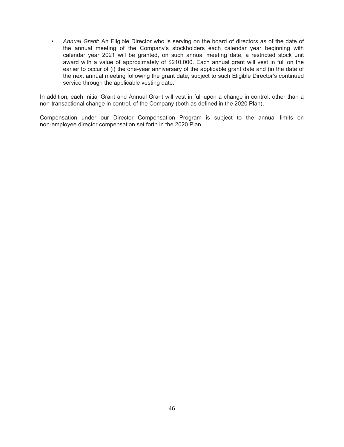• *Annual Grant*: An Eligible Director who is serving on the board of directors as of the date of the annual meeting of the Company's stockholders each calendar year beginning with calendar year 2021 will be granted, on such annual meeting date, a restricted stock unit award with a value of approximately of \$210,000. Each annual grant will vest in full on the earlier to occur of (i) the one-year anniversary of the applicable grant date and (ii) the date of the next annual meeting following the grant date, subject to such Eligible Director's continued service through the applicable vesting date.

In addition, each Initial Grant and Annual Grant will vest in full upon a change in control, other than a non-transactional change in control, of the Company (both as defined in the 2020 Plan).

Compensation under our Director Compensation Program is subject to the annual limits on non-employee director compensation set forth in the 2020 Plan.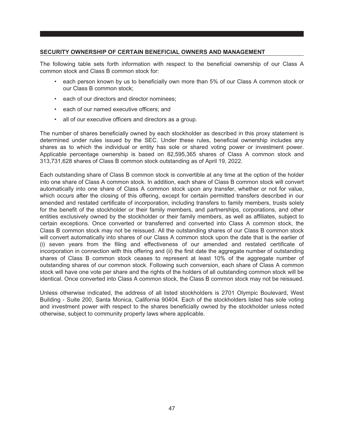#### <span id="page-54-0"></span>**SECURITY OWNERSHIP OF CERTAIN BENEFICIAL OWNERS AND MANAGEMENT**

The following table sets forth information with respect to the beneficial ownership of our Class A common stock and Class B common stock for:

- each person known by us to beneficially own more than 5% of our Class A common stock or our Class B common stock;
- each of our directors and director nominees;
- each of our named executive officers; and
- all of our executive officers and directors as a group.

The number of shares beneficially owned by each stockholder as described in this proxy statement is determined under rules issued by the SEC. Under these rules, beneficial ownership includes any shares as to which the individual or entity has sole or shared voting power or investment power. Applicable percentage ownership is based on 82,595,365 shares of Class A common stock and 313,731,628 shares of Class B common stock outstanding as of April 19, 2022.

Each outstanding share of Class B common stock is convertible at any time at the option of the holder into one share of Class A common stock. In addition, each share of Class B common stock will convert automatically into one share of Class A common stock upon any transfer, whether or not for value, which occurs after the closing of this offering, except for certain permitted transfers described in our amended and restated certificate of incorporation, including transfers to family members, trusts solely for the benefit of the stockholder or their family members, and partnerships, corporations, and other entities exclusively owned by the stockholder or their family members, as well as affiliates, subject to certain exceptions. Once converted or transferred and converted into Class A common stock, the Class B common stock may not be reissued. All the outstanding shares of our Class B common stock will convert automatically into shares of our Class A common stock upon the date that is the earlier of (i) seven years from the filing and effectiveness of our amended and restated certificate of incorporation in connection with this offering and (ii) the first date the aggregate number of outstanding shares of Class B common stock ceases to represent at least 10% of the aggregate number of outstanding shares of our common stock. Following such conversion, each share of Class A common stock will have one vote per share and the rights of the holders of all outstanding common stock will be identical. Once converted into Class A common stock, the Class B common stock may not be reissued.

Unless otherwise indicated, the address of all listed stockholders is 2701 Olympic Boulevard, West Building - Suite 200, Santa Monica, California 90404. Each of the stockholders listed has sole voting and investment power with respect to the shares beneficially owned by the stockholder unless noted otherwise, subject to community property laws where applicable.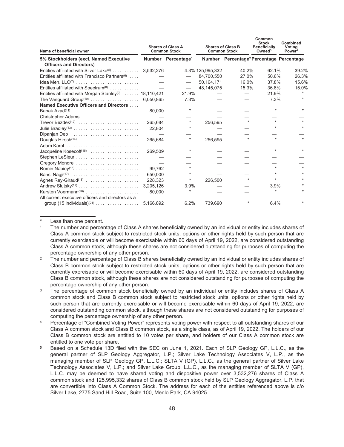| Name of beneficial owner<br>5% Stockholders (excl. Named Executive          | <b>Shares of Class A</b><br><b>Common Stock</b> |                                | <b>Shares of Class B</b><br><b>Common Stock</b> |                                                      | Common<br><b>Stock</b><br><b>Beneficially</b><br>Owned <sup>3</sup> | Combined<br>Votina<br>Power <sup>4</sup> |
|-----------------------------------------------------------------------------|-------------------------------------------------|--------------------------------|-------------------------------------------------|------------------------------------------------------|---------------------------------------------------------------------|------------------------------------------|
|                                                                             |                                                 | Number Percentage <sup>1</sup> |                                                 | Number Percentage <sup>2</sup> Percentage Percentage |                                                                     |                                          |
| <b>Officers and Directors)</b>                                              |                                                 |                                |                                                 |                                                      |                                                                     |                                          |
| Entities affiliated with Silver Lake <sup>(5)</sup> 3,532,276               |                                                 |                                | 4.3% 125,995,332                                | 40.2%                                                | 62.1%                                                               | 39.2%                                    |
| Entities affiliated with Francisco Partners <sup>(6)</sup>                  |                                                 |                                | 84,700,550                                      | 27.0%                                                | 50.6%                                                               | 26.3%                                    |
|                                                                             |                                                 | $\overbrace{\phantom{13333}}$  | 50, 164, 171                                    | 16.0%                                                | 37.8%                                                               | 15.6%                                    |
| Entities affiliated with Spectrum <sup>(8)</sup>                            |                                                 | $\qquad \qquad -$              | 48,145,075                                      | 15.3%                                                | 36.8%                                                               | 15.0%                                    |
| Entities affiliated with Morgan Stanley <sup>(9)</sup> 18,110,421           |                                                 | 21.9%                          |                                                 |                                                      | 21.9%                                                               | $\star$                                  |
|                                                                             |                                                 | 7.3%                           |                                                 |                                                      | 7.3%                                                                | $\star$                                  |
| Named Executive Officers and Directors                                      |                                                 |                                |                                                 |                                                      |                                                                     |                                          |
| Babak Azad <sup>(11)</sup>                                                  | 80,000                                          | *                              |                                                 |                                                      |                                                                     |                                          |
| Christopher Adams                                                           |                                                 |                                |                                                 |                                                      |                                                                     |                                          |
| Trevor Bezdek <sup><math>(12)</math></sup>                                  | 265.684                                         | $\star$                        | 256,595                                         |                                                      |                                                                     |                                          |
| Julie Bradley <sup>(13)</sup>                                               | 22,804                                          |                                |                                                 |                                                      |                                                                     |                                          |
| Dipanjan Deb                                                                |                                                 |                                |                                                 |                                                      |                                                                     |                                          |
|                                                                             | 265,684                                         | $\star$                        | 256,595                                         | $\star$                                              | $\star$                                                             |                                          |
| Adam Karol                                                                  |                                                 |                                |                                                 |                                                      |                                                                     |                                          |
| Jacqueline Kosecoff <sup>(15)</sup>                                         | 269.509                                         | $\star$                        |                                                 |                                                      |                                                                     |                                          |
| Stephen LeSieur                                                             |                                                 |                                |                                                 |                                                      |                                                                     |                                          |
| Gregory Mondre                                                              |                                                 |                                |                                                 |                                                      |                                                                     |                                          |
| Romin Nabiey <sup>(16)</sup>                                                | 99.762                                          |                                |                                                 |                                                      |                                                                     |                                          |
| Bansi Nagji <sup>(17)</sup>                                                 | 650,000                                         | $\star$                        |                                                 |                                                      |                                                                     |                                          |
| Agnes Rey-Giraud <sup>(18)</sup>                                            | 228.323                                         | *                              | 226,500                                         | $\star$                                              | $\star$                                                             | $\star$                                  |
|                                                                             | 3,205,126                                       | 3.9%                           |                                                 |                                                      | 3.9%                                                                |                                          |
|                                                                             | 80.000                                          | $\star$                        |                                                 |                                                      | $\star$                                                             |                                          |
| All current executive officers and directors as a                           |                                                 |                                |                                                 |                                                      |                                                                     |                                          |
| group $(15 \text{ individuals})^{(21)} \dots \dots \dots \dots \dots \dots$ | 5,166,892                                       | 6.2%                           | 739.690                                         |                                                      | 6.4%                                                                |                                          |

**Common**

<sup>\*</sup> Less than one percent.<br>1 The number and percent

<sup>1</sup> The number and percentage of Class A shares beneficially owned by an individual or entity includes shares of Class A common stock subject to restricted stock units, options or other rights held by such person that are currently exercisable or will become exercisable within 60 days of April 19, 2022, are considered outstanding Class A common stock, although these shares are not considered outstanding for purposes of computing the percentage ownership of any other person.

<sup>&</sup>lt;sup>2</sup> The number and percentage of Class B shares beneficially owned by an individual or entity includes shares of Class B common stock subject to restricted stock units, options or other rights held by such person that are currently exercisable or will become exercisable within 60 days of April 19, 2022, are considered outstanding Class B common stock, although these shares are not considered outstanding for purposes of computing the percentage ownership of any other person.

<sup>&</sup>lt;sup>3</sup> The percentage of common stock beneficially owned by an individual or entity includes shares of Class A common stock and Class B common stock subject to restricted stock units, options or other rights held by such person that are currently exercisable or will become exercisable within 60 days of April 19, 2022, are considered outstanding common stock, although these shares are not considered outstanding for purposes of computing the percentage ownership of any other person.

<sup>4</sup> Percentage of "Combined Voting Power" represents voting power with respect to all outstanding shares of our Class A common stock and Class B common stock, as a single class, as of April 19, 2022. The holders of our Class B common stock are entitled to 10 votes per share, and holders of our Class A common stock are entitled to one vote per share.

<sup>5</sup> Based on a Schedule 13D filed with the SEC on June 1, 2021. Each of SLP Geology GP, L.L.C., as the general partner of SLP Geology Aggregator, L.P.; Silver Lake Technology Associates V, L.P., as the managing member of SLP Geology GP, L.L.C.; SLTA V (GP), L.L.C., as the general partner of Silver Lake Technology Associates V, L.P.; and Silver Lake Group, L.L.C., as the managing member of SLTA V (GP), L.L.C. may be deemed to have shared voting and dispositive power over 3,532,276 shares of Class A common stock and 125,995,332 shares of Class B common stock held by SLP Geology Aggregator, L.P. that are convertible into Class A Common Stock. The address for each of the entities referenced above is c/o Silver Lake, 2775 Sand Hill Road, Suite 100, Menlo Park, CA 94025.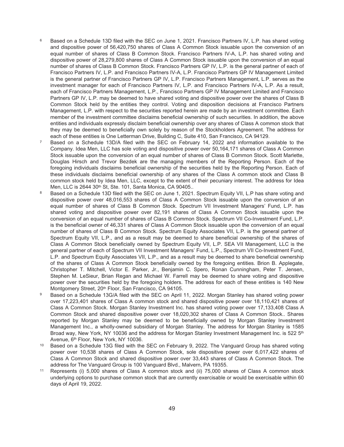- Based on a Schedule 13D filed with the SEC on June 1, 2021. Francisco Partners IV, L.P. has shared voting and dispositive power of 56,420,750 shares of Class A Common Stock issuable upon the conversion of an equal number of shares of Class B Common Stock. Francisco Partners IV-A, L.P. has shared voting and dispositive power of 28,279,800 shares of Class A Common Stock issuable upon the conversion of an equal number of shares of Class B Common Stock. Francisco Partners GP IV, L.P. is the general partner of each of Francisco Partners IV, L.P. and Francisco Partners IV-A, L.P. Francisco Partners GP IV Management Limited is the general partner of Francisco Partners GP IV, L.P. Francisco Partners Management, L.P. serves as the investment manager for each of Francisco Partners IV, L.P. and Francisco Partners IV-A, L.P. As a result, each of Francisco Partners Management, L.P., Francisco Partners GP IV Management Limited and Francisco Partners GP IV, L.P. may be deemed to have shared voting and dispositive power over the shares of Class B Common Stock held by the entities they control. Voting and disposition decisions at Francisco Partners Management, L.P. with respect to the securities reported herein are made by an investment committee. Each member of the investment committee disclaims beneficial ownership of such securities. In addition, the above entities and individuals expressly disclaim beneficial ownership over any shares of Class A common stock that they may be deemed to beneficially own solely by reason of the Stockholders Agreement. The address for each of these entities is One Letterman Drive, Building C, Suite 410, San Francisco, CA 94129.
- <sup>7</sup> Based on a Schedule 13D/A filed with the SEC on February 14, 2022 and information available to the Company. Idea Men, LLC has sole voting and dispositive power over 50,164,171 shares of Class A Common Stock issuable upon the conversion of an equal number of shares of Class B Common Stock. Scott Marlette, Douglas Hirsch and Trevor Bezdek are the managing members of the Reporting Person. Each of the foregoing individuals disclaims beneficial ownership of the securities held by the Reporting Person. Each of these individuals disclaims beneficial ownership of any shares of the Class A common stock and Class B common stock held by Idea Men, LLC, except to the extent of their pecuniary interest. The address for Idea Men, LLC is 2644 30th St, Ste. 101, Santa Monica, CA 90405..
- <sup>8</sup> Based on a Schedule 13D filed with the SEC on June 1, 2021. Spectrum Equity VII, L.P has share voting and dispositive power over 48,016,553 shares of Class A Common Stock issuable upon the conversion of an equal number of shares of Class B Common Stock. Spectrum VII Investment Managers' Fund, L.P. has shared voting and dispositive power over 82,191 shares of Class A Common Stock issuable upon the conversion of an equal number of shares of Class B Common Stock. Spectrum VII Co-Investment Fund, L.P. is the beneficial owner of 46,331 shares of Class A Common Stock issuable upon the conversion of an equal number of shares of Class B Common Stock. Spectrum Equity Associates VII, L.P. is the general partner of Spectrum Equity VII, L.P., and as a result may be deemed to share beneficial ownership of the shares of Class A Common Stock beneficially owned by Spectrum Equity VII, L.P. SEA VII Management, LLC is the general partner of each of Spectrum VII Investment Managers' Fund, L.P., Spectrum VII Co-Investment Fund, L.P. and Spectrum Equity Associates VII, L.P., and as a result may be deemed to share beneficial ownership of the shares of Class A Common Stock beneficially owned by the foregoing entities. Brion B. Applegate, Christopher T. Mitchell, Victor E. Parker, Jr., Benjamin C. Spero, Ronan Cunningham, Peter T. Jensen, Stephen M. LeSieur, Brian Regan and Michael W. Farrell may be deemed to share voting and dispositive power over the securities held by the foregoing holders. The address for each of these entities is 140 New Montgomery Street, 20<sup>th</sup> Floor, San Francisco, CA 94105.
- 9 Based on a Schedule 13G/A filed with the SEC on April 11, 2022. Morgan Stanley has shared voting power over 17,223,401 shares of Class A common stock and shared dispositive power over 18,110,421 shares of Class A Common Stock. Morgan Stanley Investment Inc. has shared voting power over 17,133,408 Class A Common Stock and shared dispositive power over 18,020,302 shares of Class A Common Stock.. Shares reported by Morgan Stanley may be deemed to be beneficially owned by Morgan Stanley Investment Management Inc., a wholly-owned subsidiary of Morgan Stanley. The address for Morgan Stanley is 1585 Broad way, New York, NY 10036 and the address for Morgan Stanley Investment Management Inc. is 522 5<sup>th</sup> Avenue, 6<sup>th</sup> Floor, New York, NY 10036.
- <sup>10</sup> Based on a Schedule 13G filed with the SEC on February 9, 2022. The Vanguard Group has shared voting power over 10,538 shares of Class A Common Stock, sole dispositive power over 6,017,422 shares of Class A Common Stock and shared dispositive power over 33,443 shares of Class A Common Stock. The address for The Vanguard Group is 100 Vanguard Blvd., Malvern, PA 19355.
- <sup>11</sup> Represents (i) 5,000 shares of Class A common stock and (ii) 75,000 shares of Class A common stock underlying options to purchase common stock that are currently exercisable or would be exercisable within 60 days of April 19, 2022.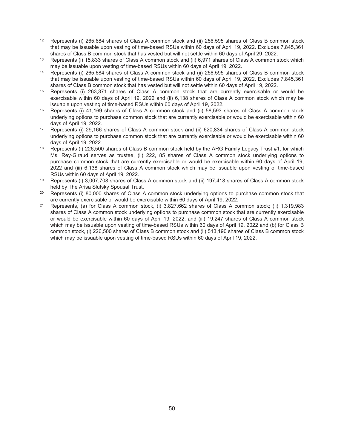- <sup>12</sup> Represents (i) 265,684 shares of Class A common stock and (ii) 256,595 shares of Class B common stock that may be issuable upon vesting of time-based RSUs within 60 days of April 19, 2022. Excludes 7,845,361 shares of Class B common stock that has vested but will not settle within 60 days of April 29, 2022.
- <sup>13</sup> Represents (i) 15,833 shares of Class A common stock and (ii) 6,971 shares of Class A common stock which may be issuable upon vesting of time-based RSUs within 60 days of April 19, 2022.
- <sup>14</sup> Represents (i) 265,684 shares of Class A common stock and (ii) 256,595 shares of Class B common stock that may be issuable upon vesting of time-based RSUs within 60 days of April 19, 2022. Excludes 7,845,361 shares of Class B common stock that has vested but will not settle within 60 days of April 19, 2022.
- <sup>15</sup> Represents (i) 263,371 shares of Class A common stock that are currently exercisable or would be exercisable within 60 days of April 19, 2022 and (ii) 6,138 shares of Class A common stock which may be issuable upon vesting of time-based RSUs within 60 days of April 19, 2022.
- Represents (i) 41,169 shares of Class A common stock and (ii) 58,593 shares of Class A common stock underlying options to purchase common stock that are currently exercisable or would be exercisable within 60 days of April 19, 2022.
- <sup>17</sup> Represents (i) 29,166 shares of Class A common stock and (ii) 620,834 shares of Class A common stock underlying options to purchase common stock that are currently exercisable or would be exercisable within 60 days of April 19, 2022.
- <sup>18</sup> Represents (i) 226,500 shares of Class B common stock held by the ARG Family Legacy Trust #1, for which Ms. Rey-Giraud serves as trustee, (ii) 222,185 shares of Class A common stock underlying options to purchase common stock that are currently exercisable or would be exercisable within 60 days of April 19, 2022 and (iii) 6,138 shares of Class A common stock which may be issuable upon vesting of time-based RSUs within 60 days of April 19, 2022.
- <sup>19</sup> Represents (i) 3,007,708 shares of Class A common stock and (ii) 197,418 shares of Class A common stock held by The Arisa Slutsky Spousal Trust.
- <sup>20</sup> Represents (i) 80,000 shares of Class A common stock underlying options to purchase common stock that are currently exercisable or would be exercisable within 60 days of April 19, 2022.
- <sup>21</sup> Represents, (a) for Class A common stock, (i) 3,827,662 shares of Class A common stock; (ii) 1,319,983 shares of Class A common stock underlying options to purchase common stock that are currently exercisable or would be exercisable within 60 days of April 19, 2022; and (iii) 19,247 shares of Class A common stock which may be issuable upon vesting of time-based RSUs within 60 days of April 19, 2022 and (b) for Class B common stock, (i) 226,500 shares of Class B common stock and (ii) 513,190 shares of Class B common stock which may be issuable upon vesting of time-based RSUs within 60 days of April 19, 2022.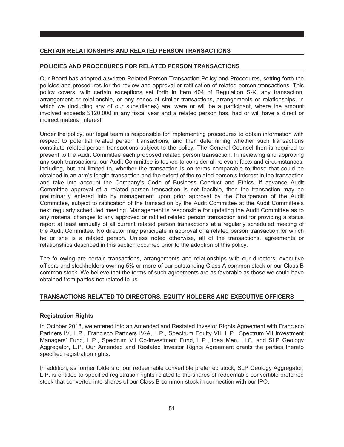#### <span id="page-58-0"></span>**CERTAIN RELATIONSHIPS AND RELATED PERSON TRANSACTIONS**

#### <span id="page-58-1"></span>**POLICIES AND PROCEDURES FOR RELATED PERSON TRANSACTIONS**

Our Board has adopted a written Related Person Transaction Policy and Procedures, setting forth the policies and procedures for the review and approval or ratification of related person transactions. This policy covers, with certain exceptions set forth in Item 404 of Regulation S-K, any transaction, arrangement or relationship, or any series of similar transactions, arrangements or relationships, in which we (including any of our subsidiaries) are, were or will be a participant, where the amount involved exceeds \$120,000 in any fiscal year and a related person has, had or will have a direct or indirect material interest.

Under the policy, our legal team is responsible for implementing procedures to obtain information with respect to potential related person transactions, and then determining whether such transactions constitute related person transactions subject to the policy. The General Counsel then is required to present to the Audit Committee each proposed related person transaction. In reviewing and approving any such transactions, our Audit Committee is tasked to consider all relevant facts and circumstances, including, but not limited to, whether the transaction is on terms comparable to those that could be obtained in an arm's length transaction and the extent of the related person's interest in the transaction and take into account the Company's Code of Business Conduct and Ethics. If advance Audit Committee approval of a related person transaction is not feasible, then the transaction may be preliminarily entered into by management upon prior approval by the Chairperson of the Audit Committee, subject to ratification of the transaction by the Audit Committee at the Audit Committee's next regularly scheduled meeting. Management is responsible for updating the Audit Committee as to any material changes to any approved or ratified related person transaction and for providing a status report at least annually of all current related person transactions at a regularly scheduled meeting of the Audit Committee. No director may participate in approval of a related person transaction for which he or she is a related person. Unless noted otherwise, all of the transactions, agreements or relationships described in this section occurred prior to the adoption of this policy.

The following are certain transactions, arrangements and relationships with our directors, executive officers and stockholders owning 5% or more of our outstanding Class A common stock or our Class B common stock. We believe that the terms of such agreements are as favorable as those we could have obtained from parties not related to us.

#### <span id="page-58-2"></span>**TRANSACTIONS RELATED TO DIRECTORS, EQUITY HOLDERS AND EXECUTIVE OFFICERS**

#### **Registration Rights**

In October 2018, we entered into an Amended and Restated Investor Rights Agreement with Francisco Partners IV, L.P., Francisco Partners IV-A, L.P., Spectrum Equity VII, L.P., Spectrum VII Investment Managers' Fund, L.P., Spectrum VII Co-Investment Fund, L.P., Idea Men, LLC, and SLP Geology Aggregator, L.P. Our Amended and Restated Investor Rights Agreement grants the parties thereto specified registration rights.

In addition, as former folders of our redeemable convertible preferred stock, SLP Geology Aggregator, L.P. is entitled to specified registration rights related to the shares of redeemable convertible preferred stock that converted into shares of our Class B common stock in connection with our IPO.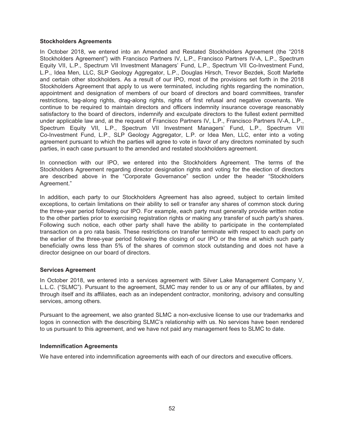#### **Stockholders Agreements**

In October 2018, we entered into an Amended and Restated Stockholders Agreement (the "2018 Stockholders Agreement") with Francisco Partners IV, L.P., Francisco Partners IV-A, L.P., Spectrum Equity VII, L.P., Spectrum VII Investment Managers' Fund, L.P., Spectrum VII Co-Investment Fund, L.P., Idea Men, LLC, SLP Geology Aggregator, L.P., Douglas Hirsch, Trevor Bezdek, Scott Marlette and certain other stockholders. As a result of our IPO, most of the provisions set forth in the 2018 Stockholders Agreement that apply to us were terminated, including rights regarding the nomination, appointment and designation of members of our board of directors and board committees, transfer restrictions, tag-along rights, drag-along rights, rights of first refusal and negative covenants. We continue to be required to maintain directors and officers indemnity insurance coverage reasonably satisfactory to the board of directors, indemnify and exculpate directors to the fullest extent permitted under applicable law and, at the request of Francisco Partners IV, L.P., Francisco Partners IV-A, L.P., Spectrum Equity VII, L.P., Spectrum VII Investment Managers' Fund, L.P., Spectrum VII Co-Investment Fund, L.P., SLP Geology Aggregator, L.P. or Idea Men, LLC, enter into a voting agreement pursuant to which the parties will agree to vote in favor of any directors nominated by such parties, in each case pursuant to the amended and restated stockholders agreement.

In connection with our IPO, we entered into the Stockholders Agreement. The terms of the Stockholders Agreement regarding director designation rights and voting for the election of directors are described above in the "Corporate Governance" section under the header "Stockholders Agreement."

In addition, each party to our Stockholders Agreement has also agreed, subject to certain limited exceptions, to certain limitations on their ability to sell or transfer any shares of common stock during the three-year period following our IPO. For example, each party must generally provide written notice to the other parties prior to exercising registration rights or making any transfer of such party's shares. Following such notice, each other party shall have the ability to participate in the contemplated transaction on a pro rata basis. These restrictions on transfer terminate with respect to each party on the earlier of the three-year period following the closing of our IPO or the time at which such party beneficially owns less than 5% of the shares of common stock outstanding and does not have a director designee on our board of directors.

#### **Services Agreement**

In October 2018, we entered into a services agreement with Silver Lake Management Company V, L.L.C. ("SLMC"). Pursuant to the agreement, SLMC may render to us or any of our affiliates, by and through itself and its affiliates, each as an independent contractor, monitoring, advisory and consulting services, among others.

Pursuant to the agreement, we also granted SLMC a non-exclusive license to use our trademarks and logos in connection with the describing SLMC's relationship with us. No services have been rendered to us pursuant to this agreement, and we have not paid any management fees to SLMC to date.

#### **Indemnification Agreements**

We have entered into indemnification agreements with each of our directors and executive officers.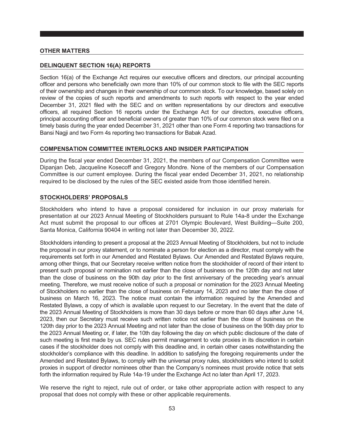#### <span id="page-60-0"></span>**OTHER MATTERS**

#### <span id="page-60-1"></span>**DELINQUENT SECTION 16(A) REPORTS**

Section 16(a) of the Exchange Act requires our executive officers and directors, our principal accounting officer and persons who beneficially own more than 10% of our common stock to file with the SEC reports of their ownership and changes in their ownership of our common stock. To our knowledge, based solely on review of the copies of such reports and amendments to such reports with respect to the year ended December 31, 2021 filed with the SEC and on written representations by our directors and executive officers, all required Section 16 reports under the Exchange Act for our directors, executive officers, principal accounting officer and beneficial owners of greater than 10% of our common stock were filed on a timely basis during the year ended December 31, 2021 other than one Form 4 reporting two transactions for Bansi Nagji and two Form 4s reporting two transactions for Babak Azad.

#### <span id="page-60-2"></span>**COMPENSATION COMMITTEE INTERLOCKS AND INSIDER PARTICIPATION**

During the fiscal year ended December 31, 2021, the members of our Compensation Committee were Dipanjan Deb, Jacqueline Kosecoff and Gregory Mondre. None of the members of our Compensation Committee is our current employee. During the fiscal year ended December 31, 2021, no relationship required to be disclosed by the rules of the SEC existed aside from those identified herein.

#### <span id="page-60-3"></span>**STOCKHOLDERS' PROPOSALS**

Stockholders who intend to have a proposal considered for inclusion in our proxy materials for presentation at our 2023 Annual Meeting of Stockholders pursuant to Rule 14a-8 under the Exchange Act must submit the proposal to our offices at 2701 Olympic Boulevard, West Building—Suite 200, Santa Monica, California 90404 in writing not later than December 30, 2022.

Stockholders intending to present a proposal at the 2023 Annual Meeting of Stockholders, but not to include the proposal in our proxy statement, or to nominate a person for election as a director, must comply with the requirements set forth in our Amended and Restated Bylaws. Our Amended and Restated Bylaws require, among other things, that our Secretary receive written notice from the stockholder of record of their intent to present such proposal or nomination not earlier than the close of business on the 120th day and not later than the close of business on the 90th day prior to the first anniversary of the preceding year's annual meeting. Therefore, we must receive notice of such a proposal or nomination for the 2023 Annual Meeting of Stockholders no earlier than the close of business on February 14, 2023 and no later than the close of business on March 16, 2023. The notice must contain the information required by the Amended and Restated Bylaws, a copy of which is available upon request to our Secretary. In the event that the date of the 2023 Annual Meeting of Stockholders is more than 30 days before or more than 60 days after June 14, 2023, then our Secretary must receive such written notice not earlier than the close of business on the 120th day prior to the 2023 Annual Meeting and not later than the close of business on the 90th day prior to the 2023 Annual Meeting or, if later, the 10th day following the day on which public disclosure of the date of such meeting is first made by us. SEC rules permit management to vote proxies in its discretion in certain cases if the stockholder does not comply with this deadline and, in certain other cases notwithstanding the stockholder's compliance with this deadline. In addition to satisfying the foregoing requirements under the Amended and Restated Bylaws, to comply with the universal proxy rules, stockholders who intend to solicit proxies in support of director nominees other than the Company's nominees must provide notice that sets forth the information required by Rule 14a-19 under the Exchange Act no later than April 17, 2023.

We reserve the right to reject, rule out of order, or take other appropriate action with respect to any proposal that does not comply with these or other applicable requirements.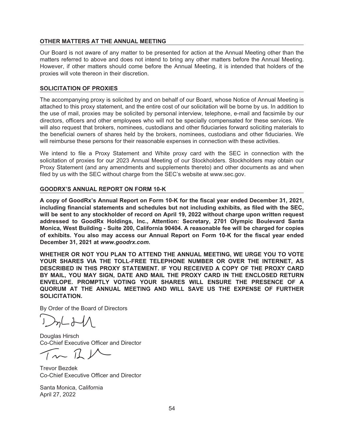#### <span id="page-61-0"></span>**OTHER MATTERS AT THE ANNUAL MEETING**

Our Board is not aware of any matter to be presented for action at the Annual Meeting other than the matters referred to above and does not intend to bring any other matters before the Annual Meeting. However, if other matters should come before the Annual Meeting, it is intended that holders of the proxies will vote thereon in their discretion.

#### <span id="page-61-1"></span>**SOLICITATION OF PROXIES**

The accompanying proxy is solicited by and on behalf of our Board, whose Notice of Annual Meeting is attached to this proxy statement, and the entire cost of our solicitation will be borne by us. In addition to the use of mail, proxies may be solicited by personal interview, telephone, e-mail and facsimile by our directors, officers and other employees who will not be specially compensated for these services. We will also request that brokers, nominees, custodians and other fiduciaries forward soliciting materials to the beneficial owners of shares held by the brokers, nominees, custodians and other fiduciaries. We will reimburse these persons for their reasonable expenses in connection with these activities.

We intend to file a Proxy Statement and White proxy card with the SEC in connection with the solicitation of proxies for our 2023 Annual Meeting of our Stockholders. Stockholders may obtain our Proxy Statement (and any amendments and supplements thereto) and other documents as and when filed by us with the SEC without charge from the SEC's website at www.sec.gov.

#### <span id="page-61-2"></span>**GOODRX'S ANNUAL REPORT ON FORM 10-K**

**A copy of GoodRx's Annual Report on Form 10-K for the fiscal year ended December 31, 2021, including financial statements and schedules but not including exhibits, as filed with the SEC, will be sent to any stockholder of record on April 19, 2022 without charge upon written request addressed to GoodRx Holdings, Inc., Attention: Secretary, 2701 Olympic Boulevard Santa Monica, West Building - Suite 200, California 90404. A reasonable fee will be charged for copies of exhibits. You also may access our Annual Report on Form 10-K for the fiscal year ended December 31, 2021 at** *www.goodrx.com***.**

**WHETHER OR NOT YOU PLAN TO ATTEND THE ANNUAL MEETING, WE URGE YOU TO VOTE YOUR SHARES VIA THE TOLL-FREE TELEPHONE NUMBER OR OVER THE INTERNET, AS DESCRIBED IN THIS PROXY STATEMENT. IF YOU RECEIVED A COPY OF THE PROXY CARD BY MAIL, YOU MAY SIGN, DATE AND MAIL THE PROXY CARD IN THE ENCLOSED RETURN ENVELOPE. PROMPTLY VOTING YOUR SHARES WILL ENSURE THE PRESENCE OF A QUORUM AT THE ANNUAL MEETING AND WILL SAVE US THE EXPENSE OF FURTHER SOLICITATION.**

By Order of the Board of Directors

 $2nL$   $21$ 

Douglas Hirsch Co-Chief Executive Officer and Director

 $\sqrt{11}$ 

Trevor Bezdek Co-Chief Executive Officer and Director

Santa Monica, California April 27, 2022